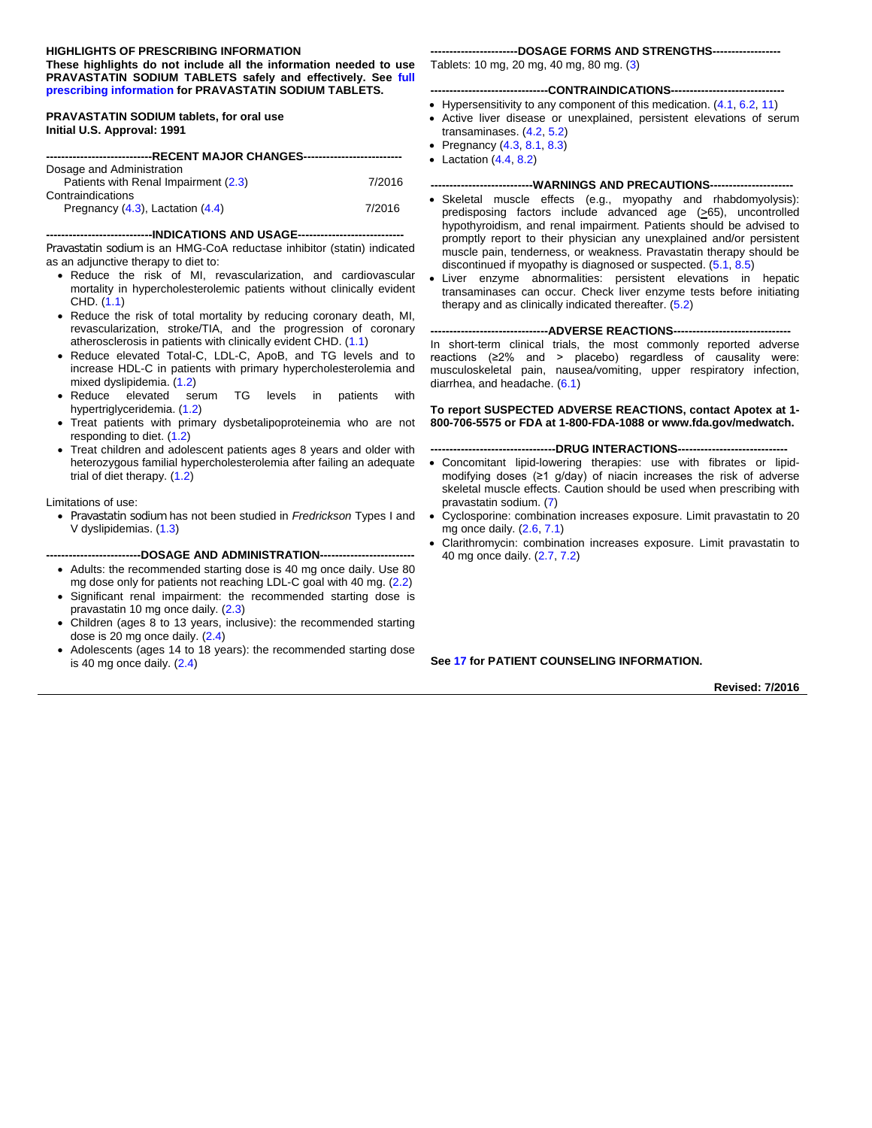#### **HIGHLIGHTS OF PRESCRIBING INFORMATION**

**These highlights do not include all the information needed to use PRAVASTATIN SODIUM TABLETS safely and effectively. See [full](#page-2-0)  [prescribing information](#page-2-0) for PRAVASTATIN SODIUM TABLETS.**

**PRAVASTATIN SODIUM tablets, for oral use Initial U.S. Approval: 1991**

| Dosage and Administration             |        |  |  |
|---------------------------------------|--------|--|--|
| Patients with Renal Impairment (2.3)  | 7/2016 |  |  |
| Contraindications                     |        |  |  |
| Pregnancy $(4.3)$ , Lactation $(4.4)$ | 7/2016 |  |  |

#### **----------------------------INDICATIONS AND USAGE----------------------------**

Pravastatin sodium is an HMG-CoA reductase inhibitor (statin) indicated as an adjunctive therapy to diet to:

- Reduce the risk of MI, revascularization, and cardiovascular mortality in hypercholesterolemic patients without clinically evident CHD. [\(1.1\)](#page-2-1)
- Reduce the risk of total mortality by reducing coronary death, MI, revascularization, stroke/TIA, and the progression of coronary atherosclerosis in patients with clinically evident CHD. [\(1.1\)](#page-2-1)
- Reduce elevated Total-C, LDL-C, ApoB, and TG levels and to increase HDL-C in patients with primary hypercholesterolemia and mixed dyslipidemia. [\(1.2\)](#page-2-2)
- Reduce elevated serum TG levels in patients with hypertriglyceridemia. [\(1.2\)](#page-2-2)
- Treat patients with primary dysbetalipoproteinemia who are not responding to diet. [\(1.2\)](#page-2-2)
- Treat children and adolescent patients ages 8 years and older with heterozygous familial hypercholesterolemia after failing an adequate trial of diet therapy. [\(1.2\)](#page-2-2)

#### Limitations of use:

• Pravastatin sodium has not been studied in *Fredrickson* Types I and V dyslipidemias. [\(1.3\)](#page-2-3)

#### **-------------------------DOSAGE AND ADMINISTRATION-------------------------**

- Adults: the recommended starting dose is 40 mg once daily. Use 80 mg dose only for patients not reaching LDL-C goal with 40 mg. [\(2.2\)](#page-3-1)
- Significant renal impairment: the recommended starting dose is pravastatin 10 mg once daily. [\(2.3\)](#page-3-0)
- Children (ages 8 to 13 years, inclusive): the recommended starting dose is 20 mg once daily. [\(2.4\)](#page-3-2)
- Adolescents (ages 14 to 18 years): the recommended starting dose is 40 mg once daily. [\(2.4\)](#page-3-2)

#### **-----------------------DOSAGE FORMS AND STRENGTHS------------------**

Tablets: 10 mg, 20 mg, 40 mg, 80 mg. [\(3\)](#page-3-3)

#### ----CONTRAINDICATIONS---

- Hypersensitivity to any component of this medication. [\(4.1,](#page-4-2) [6.2,](#page-8-0) [11\)](#page-12-0)
- Active liver disease or unexplained, persistent elevations of serum transaminases. [\(4.2,](#page-4-3) [5.2\)](#page-5-0)
- Pregnancy [\(4.3,](#page-4-0) [8.1,](#page-10-0) [8.3\)](#page-11-0)
- Lactation  $(4.4, 8.2)$  $(4.4, 8.2)$

#### **---------------------------WARNINGS AND PRECAUTIONS----------------------**

- Skeletal muscle effects (e.g., myopathy and rhabdomyolysis): predisposing factors include advanced age  $(≥65)$ , uncontrolled hypothyroidism, and renal impairment. Patients should be advised to promptly report to their physician any unexplained and/or persistent muscle pain, tenderness, or weakness. Pravastatin therapy should be discontinued if myopathy is diagnosed or suspected. [\(5.1,](#page-4-4) [8.5\)](#page-12-1)
- Liver enzyme abnormalities: persistent elevations in hepatic transaminases can occur. Check liver enzyme tests before initiating therapy and as clinically indicated thereafter. [\(5.2\)](#page-5-0)

#### ---ADVERSE REACTIONS----

In short-term clinical trials, the most commonly reported adverse reactions (≥2% and > placebo) regardless of causality were: musculoskeletal pain, nausea/vomiting, upper respiratory infection, diarrhea, and headache. [\(6.1\)](#page-6-0)

#### **To report SUSPECTED ADVERSE REACTIONS, contact Apotex at 1- 800-706-5575 or FDA at 1-800-FDA-1088 or www.fda.gov/medwatch.**

#### ----DRUG INTERACTIONS----

- Concomitant lipid-lowering therapies: use with fibrates or lipidmodifying doses (≥1 g/day) of niacin increases the risk of adverse skeletal muscle effects. Caution should be used when prescribing with pravastatin sodium. [\(7\)](#page-9-0)
- Cyclosporine: combination increases exposure. Limit pravastatin to 20 mg once daily. [\(2.6,](#page-3-4) [7.1\)](#page-9-1)
- Clarithromycin: combination increases exposure. Limit pravastatin to 40 mg once daily. [\(2.7,](#page-3-5) [7.2\)](#page-9-2)

#### **See [17](#page-22-0) for PATIENT COUNSELING INFORMATION.**

**Revised: 7/2016**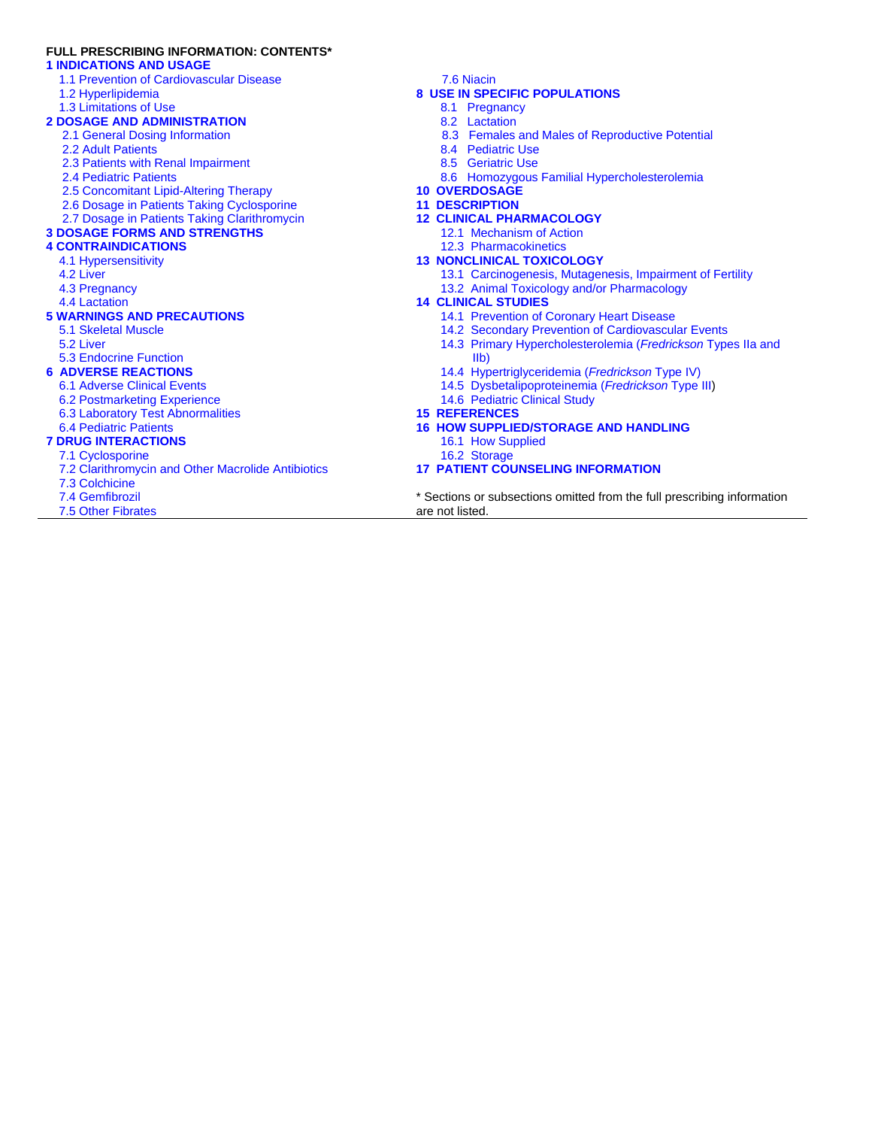## **FULL PRESCRIBING INFORMATION: CONTENTS\***

#### **1 [INDICATIONS AND USAGE](#page-2-4)**

- 1.1 [Prevention of Cardiovascular Disease](#page-2-1)
- 1.2 [Hyperlipidemia](#page-2-2)
- 1.3 [Limitations of Use](#page-2-3)

# **[2 DOSAGE AND ADMINISTRATION](#page-3-6)**

- 2.1 [General Dosing Information](#page-3-7)
- 2.2 [Adult Patients](#page-3-1)
- 2.3 [Patients with Renal Impairment](#page-3-0)
- 2.4 [Pediatric Patients](#page-3-2)
- 2.5 [Concomitant Lipid-Altering Therapy](#page-3-8)
- 2.6 [Dosage in Patients Taking Cyclosporine](#page-3-4)
- 2.7 [Dosage in Patients Taking Clarithromycin](#page-3-5)

## **[3 DOSAGE FORMS AND STRENGTHS](#page-3-3)**

# **[4 CONTRAINDICATIONS](#page-4-5)**

- 4.1 [Hypersensitivity](#page-4-2)
- 4.2 [Liver](#page-4-3)
- 4.3 [Pregnancy](#page-4-0)
- 4.4 [Lactation](#page-4-1)

#### **[5 WARNINGS AND PRECAUTIONS](#page-4-6)**

- 5.1 [Skeletal Muscle](#page-4-4)
- 5.2 [Liver](#page-5-0)

#### 5.3 [Endocrine Function](#page-6-1)

#### **[6 ADVERSE REACTIONS](#page-6-2)**

- 6.1 [Adverse Clinical Events](#page-6-0)
- 6.2 [Postmarketing Experience](#page-8-0)
- 6.3 [Laboratory Test Abnormalities](#page-9-3)

#### 6.4 [Pediatric Patients](#page-9-4) **[7 DRUG INTERACTIONS](#page-9-0)**

- 7.1 [Cyclosporine](#page-9-1)
- 7.2 Clarithromycin [and Other Macrolide Antibiotics](#page-9-2)
- [7.3 Colchicine](#page-10-1)
- [7.4 Gemfibrozil](#page-10-2)
- [7.5 Other Fibrates](#page-10-3)

#### [7.6 Niacin](#page-10-4)

#### **[8 USE IN SPECIFIC POPULATIONS](#page-10-5)**

- [8.1 Pregnancy](#page-10-0)
- [8.2 Lactation](#page-11-1)
- [8.3 Females and Males of Reproductive Potential](#page-11-0)
- [8.4 Pediatric Use](#page-11-2)
- [8.5 Geriatric Use](#page-12-1)
- [8.6 Homozygous Familial Hypercholesterolemia](#page-12-2)
- **[10 OVERDOSAGE](#page-12-3)**
- **[11 DESCRIPTION](#page-12-0)**
- **[12 CLINICAL PHARMACOLOGY](#page-13-0)**
	- 12.1 [Mechanism of Action](#page-13-1)
	- 12.3 [Pharmacokinetics](#page-13-2)
- **[13 NONCLINICAL TOXICOLOGY](#page-15-0)**
	- 13.1 [Carcinogenesis, Mutagenesis, Impairment of Fertility](#page-15-1)
	- 13.2 [Animal Toxicology and/or Pharmacology](#page-16-0)
- **[14 CLINICAL STUDIES](#page-16-1)**
	- 14.1 [Prevention of Coronary Heart Disease](#page-16-2)
	- 14.2 [Secondary Prevention of Cardiovascular Events](#page-17-0)
	- 14.3 [Primary Hypercholesterolemia \(](#page-18-0)*Fredrickson* Types IIa and [IIb\)](#page-18-0)
	- 14.4 [Hypertriglyceridemia \(](#page-19-0)*Fredrickson* Type IV)
	- 14.5 [Dysbetalipoproteinemia \(](#page-19-1)*Fredrickson* Type III)
	- 14.6 [Pediatric Clinical Study](#page-20-0)
- **[15 REFERENCES](#page-21-0)**
- **[16 HOW SUPPLIED/STORAGE AND HANDLING](#page-21-1)**
	- 16.1 [How Supplied](#page-21-2)
	- 16.2 [Storage](#page-22-1)

#### **[17 PATIENT COUNSELING INFORMATION](#page-22-0)**

\* Sections or subsections omitted from the full prescribing information are not listed.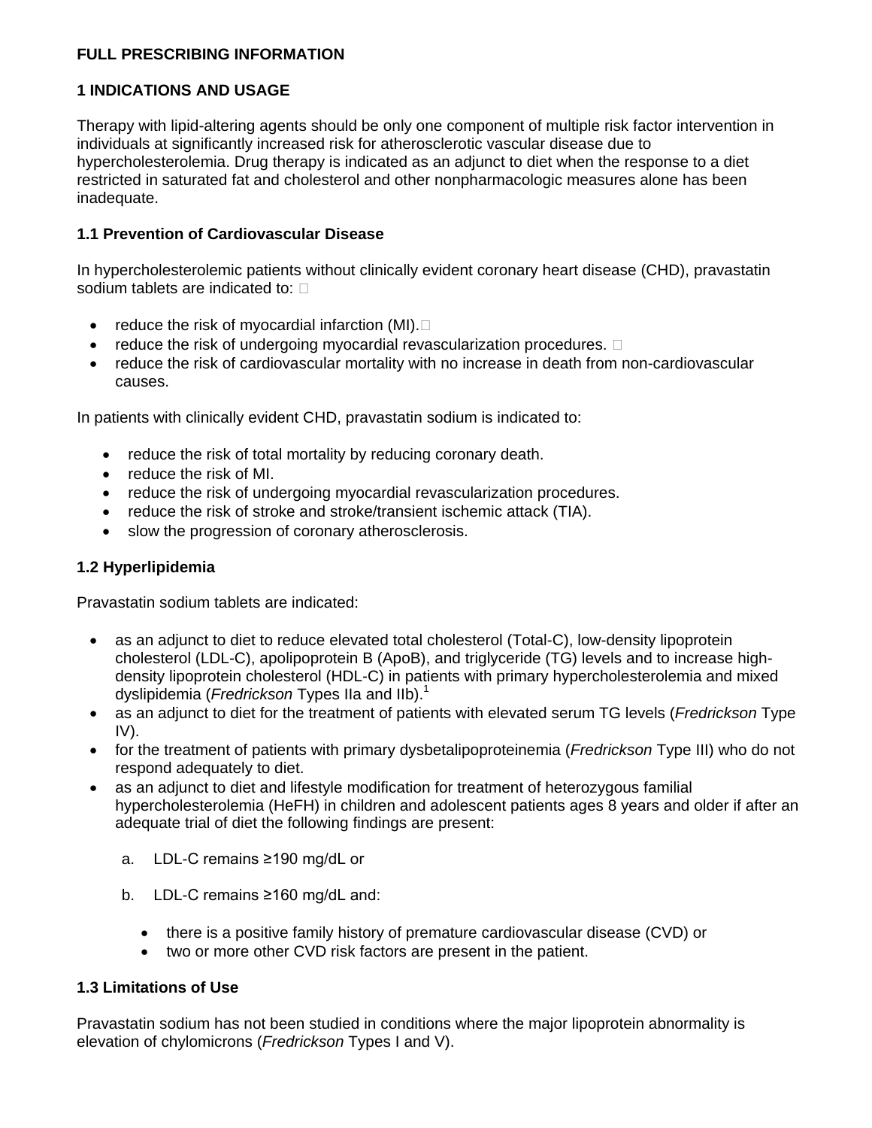# <span id="page-2-0"></span>**FULL PRESCRIBING INFORMATION**

# <span id="page-2-4"></span>**1 INDICATIONS AND USAGE**

Therapy with lipid-altering agents should be only one component of multiple risk factor intervention in individuals at significantly increased risk for atherosclerotic vascular disease due to hypercholesterolemia. Drug therapy is indicated as an adjunct to diet when the response to a diet restricted in saturated fat and cholesterol and other nonpharmacologic measures alone has been inadequate.

# <span id="page-2-1"></span>**1.1 Prevention of Cardiovascular Disease**

In hypercholesterolemic patients without clinically evident coronary heart disease (CHD), pravastatin sodium tablets are indicated to:  $\square$ 

- reduce the risk of myocardial infarction (MI). $\square$
- $\bullet$  reduce the risk of undergoing myocardial revascularization procedures.  $\Box$
- reduce the risk of cardiovascular mortality with no increase in death from non-cardiovascular causes.

In patients with clinically evident CHD, pravastatin sodium is indicated to:

- reduce the risk of total mortality by reducing coronary death.
- reduce the risk of MI.
- reduce the risk of undergoing myocardial revascularization procedures.
- reduce the risk of stroke and stroke/transient ischemic attack (TIA).
- slow the progression of coronary atherosclerosis.

# <span id="page-2-2"></span>**1.2 Hyperlipidemia**

Pravastatin sodium tablets are indicated:

- as an adjunct to diet to reduce elevated total cholesterol (Total-C), low-density lipoprotein cholesterol (LDL-C), apolipoprotein B (ApoB), and triglyceride (TG) levels and to increase highdensity lipoprotein cholesterol (HDL-C) in patients with primary hypercholesterolemia and mixed dyslipidemia (*Fredrickson* Types IIa and IIb).<sup>1</sup>
- as an adjunct to diet for the treatment of patients with elevated serum TG levels (*Fredrickson* Type IV).
- for the treatment of patients with primary dysbetalipoproteinemia (*Fredrickson* Type III) who do not respond adequately to diet.
- as an adjunct to diet and lifestyle modification for treatment of heterozygous familial hypercholesterolemia (HeFH) in children and adolescent patients ages 8 years and older if after an adequate trial of diet the following findings are present:
	- a. LDL-C remains ≥190 mg/dL or
	- b. LDL-C remains ≥160 mg/dL and:
		- there is a positive family history of premature cardiovascular disease (CVD) or
		- two or more other CVD risk factors are present in the patient.

# <span id="page-2-3"></span>**1.3 Limitations of Use**

Pravastatin sodium has not been studied in conditions where the major lipoprotein abnormality is elevation of chylomicrons (*Fredrickson* Types I and V).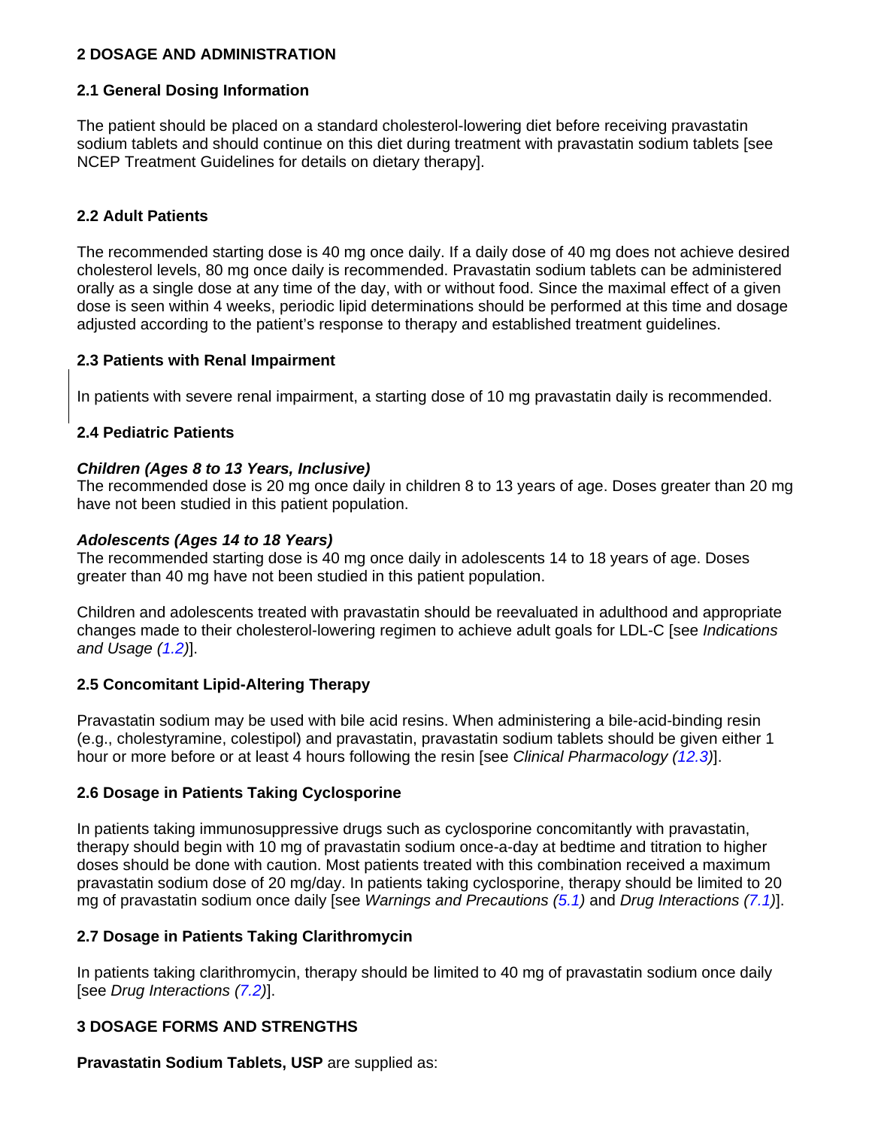# <span id="page-3-6"></span>**2 DOSAGE AND ADMINISTRATION**

# <span id="page-3-7"></span>**2.1 General Dosing Information**

The patient should be placed on a standard cholesterol-lowering diet before receiving pravastatin sodium tablets and should continue on this diet during treatment with pravastatin sodium tablets [see NCEP Treatment Guidelines for details on dietary therapy].

## <span id="page-3-1"></span>**2.2 Adult Patients**

The recommended starting dose is 40 mg once daily. If a daily dose of 40 mg does not achieve desired cholesterol levels, 80 mg once daily is recommended. Pravastatin sodium tablets can be administered orally as a single dose at any time of the day, with or without food. Since the maximal effect of a given dose is seen within 4 weeks, periodic lipid determinations should be performed at this time and dosage adjusted according to the patient's response to therapy and established treatment guidelines.

## <span id="page-3-0"></span>**2.3 Patients with Renal Impairment**

In patients with severe renal impairment, a starting dose of 10 mg pravastatin daily is recommended.

## <span id="page-3-2"></span>**2.4 Pediatric Patients**

## *Children (Ages 8 to 13 Years, Inclusive)*

The recommended dose is 20 mg once daily in children 8 to 13 years of age. Doses greater than 20 mg have not been studied in this patient population.

## *Adolescents (Ages 14 to 18 Years)*

The recommended starting dose is 40 mg once daily in adolescents 14 to 18 years of age. Doses greater than 40 mg have not been studied in this patient population.

Children and adolescents treated with pravastatin should be reevaluated in adulthood and appropriate changes made to their cholesterol-lowering regimen to achieve adult goals for LDL-C [see *Indications and Usage [\(1.2\)](#page-2-2)*].

# <span id="page-3-8"></span>**2.5 Concomitant Lipid-Altering Therapy**

Pravastatin sodium may be used with bile acid resins. When administering a bile-acid-binding resin (e.g., cholestyramine, colestipol) and pravastatin, pravastatin sodium tablets should be given either 1 hour or more before or at least 4 hours following the resin [see *Clinical Pharmacology [\(12.3\)](#page-13-2)*].

# <span id="page-3-4"></span>**2.6 Dosage in Patients Taking Cyclosporine**

In patients taking immunosuppressive drugs such as cyclosporine concomitantly with pravastatin, therapy should begin with 10 mg of pravastatin sodium once-a-day at bedtime and titration to higher doses should be done with caution. Most patients treated with this combination received a maximum pravastatin sodium dose of 20 mg/day. In patients taking cyclosporine, therapy should be limited to 20 mg of pravastatin sodium once daily [see *Warnings and Precautions [\(5.1\)](#page-4-4)* and *Drug Interactions [\(7.1\)](#page-9-1)*].

# <span id="page-3-5"></span>**2.7 Dosage in Patients Taking Clarithromycin**

In patients taking clarithromycin, therapy should be limited to 40 mg of pravastatin sodium once daily [see *Drug Interactions [\(7.2\)](#page-9-2)*].

# <span id="page-3-3"></span>**3 DOSAGE FORMS AND STRENGTHS**

**Pravastatin Sodium Tablets, USP** are supplied as: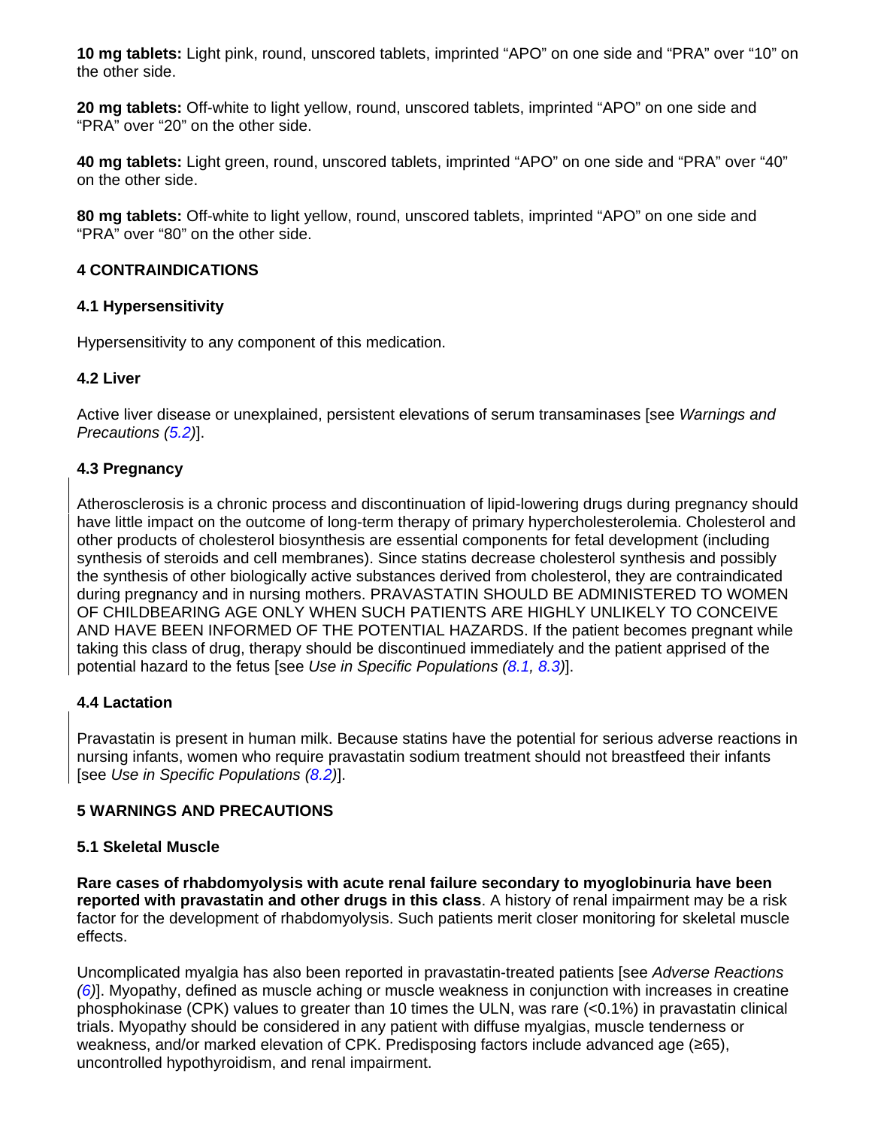**10 mg tablets:** Light pink, round, unscored tablets, imprinted "APO" on one side and "PRA" over "10" on the other side.

**20 mg tablets:** Off-white to light yellow, round, unscored tablets, imprinted "APO" on one side and "PRA" over "20" on the other side.

**40 mg tablets:** Light green, round, unscored tablets, imprinted "APO" on one side and "PRA" over "40" on the other side.

**80 mg tablets:** Off-white to light yellow, round, unscored tablets, imprinted "APO" on one side and "PRA" over "80" on the other side.

# <span id="page-4-5"></span>**4 CONTRAINDICATIONS**

# <span id="page-4-2"></span>**4.1 Hypersensitivity**

Hypersensitivity to any component of this medication.

# <span id="page-4-3"></span>**4.2 Liver**

Active liver disease or unexplained, persistent elevations of serum transaminases [see *Warnings and Precautions [\(5.2\)](#page-5-0)*].

# <span id="page-4-0"></span>**4.3 Pregnancy**

Atherosclerosis is a chronic process and discontinuation of lipid-lowering drugs during pregnancy should have little impact on the outcome of long-term therapy of primary hypercholesterolemia. Cholesterol and other products of cholesterol biosynthesis are essential components for fetal development (including synthesis of steroids and cell membranes). Since statins decrease cholesterol synthesis and possibly the synthesis of other biologically active substances derived from cholesterol, they are contraindicated during pregnancy and in nursing mothers. PRAVASTATIN SHOULD BE ADMINISTERED TO WOMEN OF CHILDBEARING AGE ONLY WHEN SUCH PATIENTS ARE HIGHLY UNLIKELY TO CONCEIVE AND HAVE BEEN INFORMED OF THE POTENTIAL HAZARDS. If the patient becomes pregnant while taking this class of drug, therapy should be discontinued immediately and the patient apprised of the potential hazard to the fetus [see *Use in Specific Populations [\(8.1,](#page-10-0) [8.3\)](#page-11-0)*].

### <span id="page-4-1"></span>**4.4 Lactation**

Pravastatin is present in human milk. Because statins have the potential for serious adverse reactions in nursing infants, women who require pravastatin sodium treatment should not breastfeed their infants [see *Use in Specific Populations [\(8.2\)](#page-11-1)*].

# <span id="page-4-6"></span>**5 WARNINGS AND PRECAUTIONS**

### <span id="page-4-4"></span>**5.1 Skeletal Muscle**

**Rare cases of rhabdomyolysis with acute renal failure secondary to myoglobinuria have been reported with pravastatin and other drugs in this class**. A history of renal impairment may be a risk factor for the development of rhabdomyolysis. Such patients merit closer monitoring for skeletal muscle effects.

Uncomplicated myalgia has also been reported in pravastatin-treated patients [see *Adverse Reactions [\(6\)](#page-6-2)*]. Myopathy, defined as muscle aching or muscle weakness in conjunction with increases in creatine phosphokinase (CPK) values to greater than 10 times the ULN, was rare (<0.1%) in pravastatin clinical trials. Myopathy should be considered in any patient with diffuse myalgias, muscle tenderness or weakness, and/or marked elevation of CPK. Predisposing factors include advanced age (≥65), uncontrolled hypothyroidism, and renal impairment.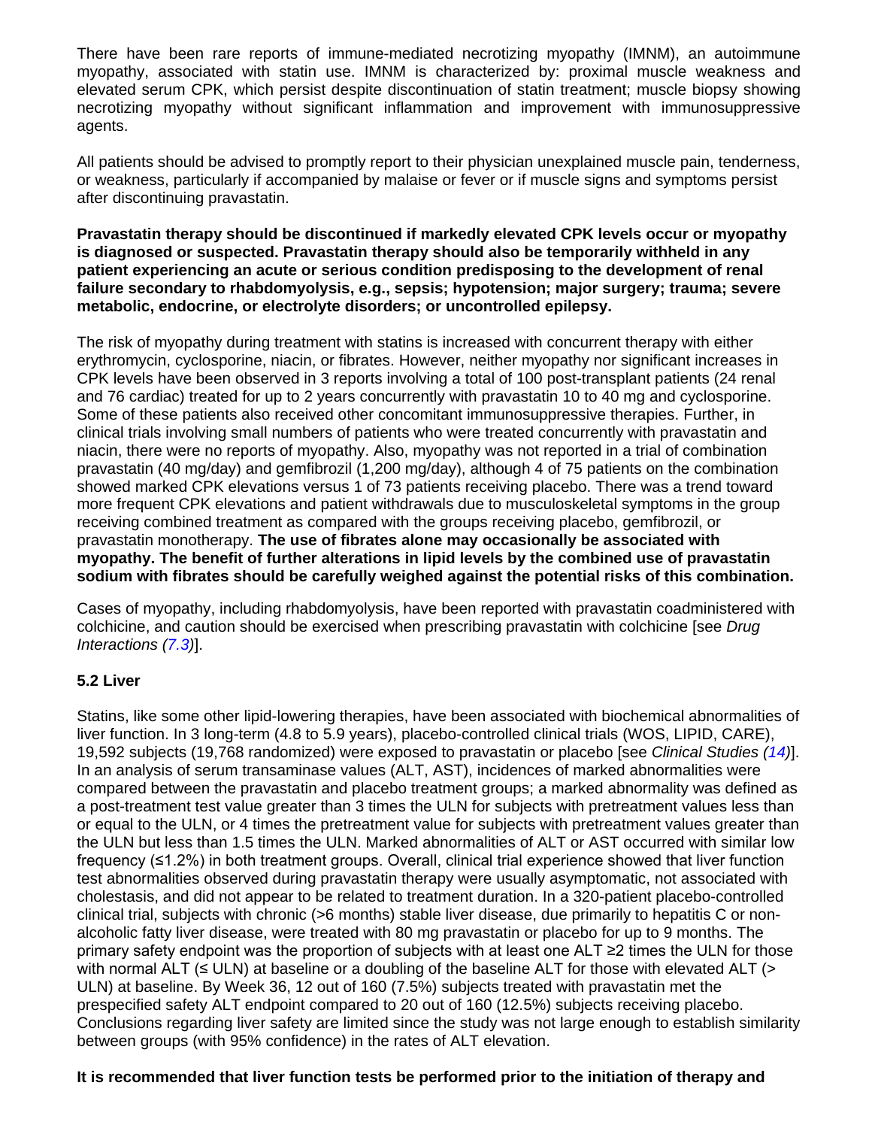There have been rare reports of immune-mediated necrotizing myopathy (IMNM), an autoimmune myopathy, associated with statin use. IMNM is characterized by: proximal muscle weakness and elevated serum CPK, which persist despite discontinuation of statin treatment; muscle biopsy showing necrotizing myopathy without significant inflammation and improvement with immunosuppressive agents.

All patients should be advised to promptly report to their physician unexplained muscle pain, tenderness, or weakness, particularly if accompanied by malaise or fever or if muscle signs and symptoms persist after discontinuing pravastatin.

**Pravastatin therapy should be discontinued if markedly elevated CPK levels occur or myopathy is diagnosed or suspected. Pravastatin therapy should also be temporarily withheld in any patient experiencing an acute or serious condition predisposing to the development of renal failure secondary to rhabdomyolysis, e.g., sepsis; hypotension; major surgery; trauma; severe metabolic, endocrine, or electrolyte disorders; or uncontrolled epilepsy.**

The risk of myopathy during treatment with statins is increased with concurrent therapy with either erythromycin, cyclosporine, niacin, or fibrates. However, neither myopathy nor significant increases in CPK levels have been observed in 3 reports involving a total of 100 post-transplant patients (24 renal and 76 cardiac) treated for up to 2 years concurrently with pravastatin 10 to 40 mg and cyclosporine. Some of these patients also received other concomitant immunosuppressive therapies. Further, in clinical trials involving small numbers of patients who were treated concurrently with pravastatin and niacin, there were no reports of myopathy. Also, myopathy was not reported in a trial of combination pravastatin (40 mg/day) and gemfibrozil (1,200 mg/day), although 4 of 75 patients on the combination showed marked CPK elevations versus 1 of 73 patients receiving placebo. There was a trend toward more frequent CPK elevations and patient withdrawals due to musculoskeletal symptoms in the group receiving combined treatment as compared with the groups receiving placebo, gemfibrozil, or pravastatin monotherapy. **The use of fibrates alone may occasionally be associated with myopathy. The benefit of further alterations in lipid levels by the combined use of pravastatin sodium with fibrates should be carefully weighed against the potential risks of this combination.**

Cases of myopathy, including rhabdomyolysis, have been reported with pravastatin coadministered with colchicine, and caution should be exercised when prescribing pravastatin with colchicine [see *Drug Interactions [\(7.3\)](#page-10-1)*].

# <span id="page-5-0"></span>**5.2 Liver**

Statins, like some other lipid-lowering therapies, have been associated with biochemical abnormalities of liver function. In 3 long-term (4.8 to 5.9 years), placebo-controlled clinical trials (WOS, LIPID, CARE), 19,592 subjects (19,768 randomized) were exposed to pravastatin or placebo [see *Clinical Studies [\(14\)](#page-16-1)*]. In an analysis of serum transaminase values (ALT, AST), incidences of marked abnormalities were compared between the pravastatin and placebo treatment groups; a marked abnormality was defined as a post-treatment test value greater than 3 times the ULN for subjects with pretreatment values less than or equal to the ULN, or 4 times the pretreatment value for subjects with pretreatment values greater than the ULN but less than 1.5 times the ULN. Marked abnormalities of ALT or AST occurred with similar low frequency (≤1.2%) in both treatment groups. Overall, clinical trial experience showed that liver function test abnormalities observed during pravastatin therapy were usually asymptomatic, not associated with cholestasis, and did not appear to be related to treatment duration. In a 320-patient placebo-controlled clinical trial, subjects with chronic (>6 months) stable liver disease, due primarily to hepatitis C or nonalcoholic fatty liver disease, were treated with 80 mg pravastatin or placebo for up to 9 months. The primary safety endpoint was the proportion of subjects with at least one ALT ≥2 times the ULN for those with normal ALT  $(\leq ULN)$  at baseline or a doubling of the baseline ALT for those with elevated ALT ( $>$ ULN) at baseline. By Week 36, 12 out of 160 (7.5%) subjects treated with pravastatin met the prespecified safety ALT endpoint compared to 20 out of 160 (12.5%) subjects receiving placebo. Conclusions regarding liver safety are limited since the study was not large enough to establish similarity between groups (with 95% confidence) in the rates of ALT elevation.

# **It is recommended that liver function tests be performed prior to the initiation of therapy and**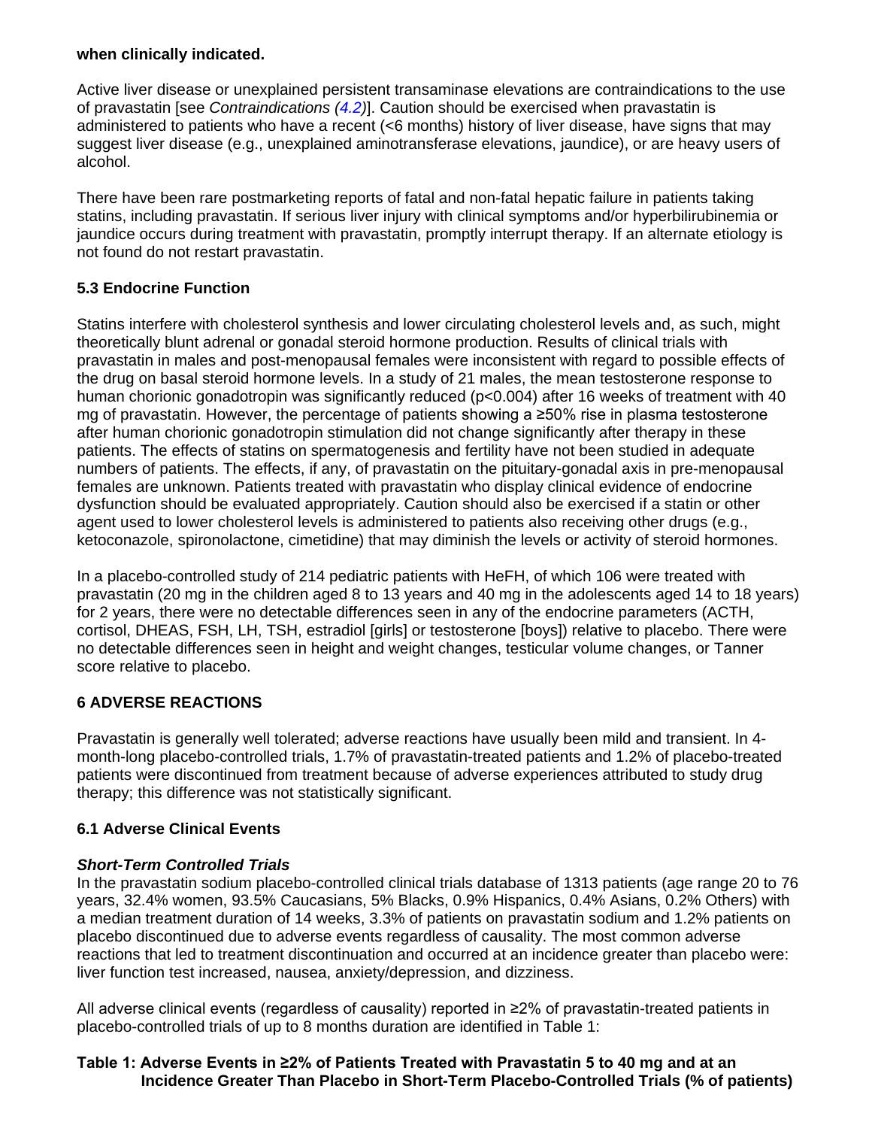## **when clinically indicated.**

Active liver disease or unexplained persistent transaminase elevations are contraindications to the use of pravastatin [see *Contraindications [\(4.2\)](#page-4-3)*]. Caution should be exercised when pravastatin is administered to patients who have a recent (<6 months) history of liver disease, have signs that may suggest liver disease (e.g., unexplained aminotransferase elevations, jaundice), or are heavy users of alcohol.

There have been rare postmarketing reports of fatal and non-fatal hepatic failure in patients taking statins, including pravastatin. If serious liver injury with clinical symptoms and/or hyperbilirubinemia or jaundice occurs during treatment with pravastatin, promptly interrupt therapy. If an alternate etiology is not found do not restart pravastatin.

# <span id="page-6-1"></span>**5.3 Endocrine Function**

Statins interfere with cholesterol synthesis and lower circulating cholesterol levels and, as such, might theoretically blunt adrenal or gonadal steroid hormone production. Results of clinical trials with pravastatin in males and post-menopausal females were inconsistent with regard to possible effects of the drug on basal steroid hormone levels. In a study of 21 males, the mean testosterone response to human chorionic gonadotropin was significantly reduced (p<0.004) after 16 weeks of treatment with 40 mg of pravastatin. However, the percentage of patients showing a ≥50% rise in plasma testosterone after human chorionic gonadotropin stimulation did not change significantly after therapy in these patients. The effects of statins on spermatogenesis and fertility have not been studied in adequate numbers of patients. The effects, if any, of pravastatin on the pituitary-gonadal axis in pre-menopausal females are unknown. Patients treated with pravastatin who display clinical evidence of endocrine dysfunction should be evaluated appropriately. Caution should also be exercised if a statin or other agent used to lower cholesterol levels is administered to patients also receiving other drugs (e.g., ketoconazole, spironolactone, cimetidine) that may diminish the levels or activity of steroid hormones.

In a placebo-controlled study of 214 pediatric patients with HeFH, of which 106 were treated with pravastatin (20 mg in the children aged 8 to 13 years and 40 mg in the adolescents aged 14 to 18 years) for 2 years, there were no detectable differences seen in any of the endocrine parameters (ACTH, cortisol, DHEAS, FSH, LH, TSH, estradiol [girls] or testosterone [boys]) relative to placebo. There were no detectable differences seen in height and weight changes, testicular volume changes, or Tanner score relative to placebo.

# <span id="page-6-2"></span>**6 ADVERSE REACTIONS**

Pravastatin is generally well tolerated; adverse reactions have usually been mild and transient. In 4 month-long placebo-controlled trials, 1.7% of pravastatin-treated patients and 1.2% of placebo-treated patients were discontinued from treatment because of adverse experiences attributed to study drug therapy; this difference was not statistically significant.

# <span id="page-6-0"></span>**6.1 Adverse Clinical Events**

# *Short-Term Controlled Trials*

In the pravastatin sodium placebo-controlled clinical trials database of 1313 patients (age range 20 to 76 years, 32.4% women, 93.5% Caucasians, 5% Blacks, 0.9% Hispanics, 0.4% Asians, 0.2% Others) with a median treatment duration of 14 weeks, 3.3% of patients on pravastatin sodium and 1.2% patients on placebo discontinued due to adverse events regardless of causality. The most common adverse reactions that led to treatment discontinuation and occurred at an incidence greater than placebo were: liver function test increased, nausea, anxiety/depression, and dizziness.

All adverse clinical events (regardless of causality) reported in ≥2% of pravastatin-treated patients in placebo-controlled trials of up to 8 months duration are identified in Table 1:

# **Table 1: Adverse Events in ≥2% of Patients Treated with Pravastatin 5 to 40 mg and at an Incidence Greater Than Placebo in Short-Term Placebo-Controlled Trials (% of patients)**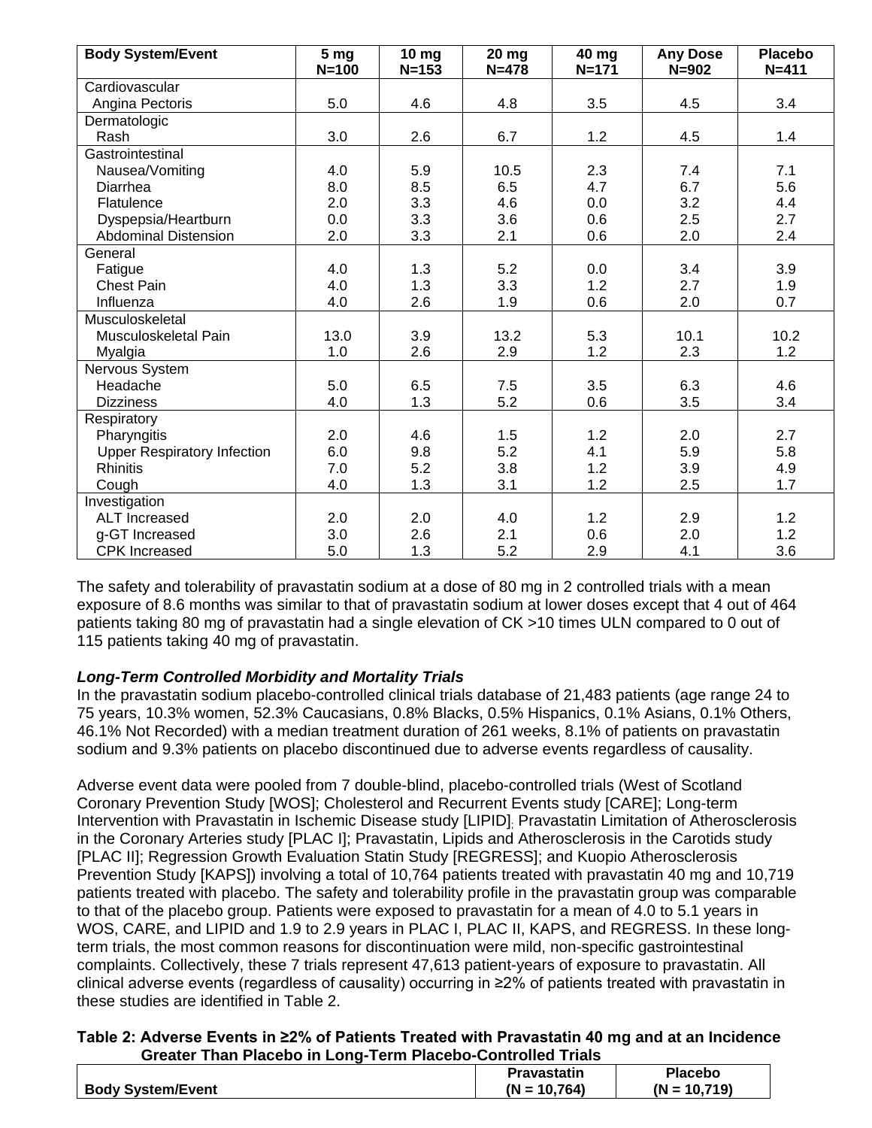| <b>Body System/Event</b>           | 5 <sub>mg</sub><br>$N = 100$ | 10 <sub>mg</sub><br>$N = 153$ | <b>20 mg</b><br>$N = 478$ | 40 mg<br>$N = 171$ | <b>Any Dose</b><br>$N = 902$ | <b>Placebo</b><br>$N = 411$ |
|------------------------------------|------------------------------|-------------------------------|---------------------------|--------------------|------------------------------|-----------------------------|
| Cardiovascular                     |                              |                               |                           |                    |                              |                             |
| Angina Pectoris                    | 5.0                          | 4.6                           | 4.8                       | 3.5                | 4.5                          | 3.4                         |
| Dermatologic                       |                              |                               |                           |                    |                              |                             |
| Rash                               | 3.0                          | 2.6                           | 6.7                       | 1.2                | 4.5                          | 1.4                         |
| Gastrointestinal                   |                              |                               |                           |                    |                              |                             |
| Nausea/Vomiting                    | 4.0                          | 5.9                           | 10.5                      | 2.3                | 7.4                          | 7.1                         |
| Diarrhea                           | 8.0                          | 8.5                           | 6.5                       | 4.7                | 6.7                          | 5.6                         |
| Flatulence                         | 2.0                          | 3.3                           | 4.6                       | 0.0                | 3.2                          | 4.4                         |
| Dyspepsia/Heartburn                | 0.0                          | 3.3                           | 3.6                       | 0.6                | 2.5                          | 2.7                         |
| <b>Abdominal Distension</b>        | 2.0                          | 3.3                           | 2.1                       | 0.6                | 2.0                          | 2.4                         |
| General                            |                              |                               |                           |                    |                              |                             |
| Fatigue                            | 4.0                          | 1.3                           | 5.2                       | 0.0                | 3.4                          | 3.9                         |
| <b>Chest Pain</b>                  | 4.0                          | 1.3                           | 3.3                       | 1.2                | 2.7                          | 1.9                         |
| Influenza                          | 4.0                          | 2.6                           | 1.9                       | 0.6                | 2.0                          | 0.7                         |
| Musculoskeletal                    |                              |                               |                           |                    |                              |                             |
| Musculoskeletal Pain               | 13.0                         | 3.9                           | 13.2                      | 5.3                | 10.1                         | 10.2                        |
| Myalgia                            | 1.0                          | 2.6                           | 2.9                       | 1.2                | 2.3                          | 1.2                         |
| Nervous System                     |                              |                               |                           |                    |                              |                             |
| Headache                           | 5.0                          | 6.5                           | 7.5                       | 3.5                | 6.3                          | 4.6                         |
| <b>Dizziness</b>                   | 4.0                          | 1.3                           | 5.2                       | 0.6                | 3.5                          | 3.4                         |
| Respiratory                        |                              |                               |                           |                    |                              |                             |
| Pharyngitis                        | 2.0                          | 4.6                           | 1.5                       | 1.2                | 2.0                          | 2.7                         |
| <b>Upper Respiratory Infection</b> | 6.0                          | 9.8                           | 5.2                       | 4.1                | 5.9                          | 5.8                         |
| <b>Rhinitis</b>                    | 7.0                          | 5.2                           | 3.8                       | 1.2                | 3.9                          | 4.9                         |
| Cough                              | 4.0                          | 1.3                           | 3.1                       | 1.2                | 2.5                          | 1.7                         |
| Investigation                      |                              |                               |                           |                    |                              |                             |
| <b>ALT</b> Increased               | 2.0                          | 2.0                           | 4.0                       | 1.2                | 2.9                          | 1.2                         |
| g-GT Increased                     | 3.0                          | 2.6                           | 2.1                       | 0.6                | 2.0                          | 1.2                         |
| <b>CPK</b> Increased               | 5.0                          | 1.3                           | 5.2                       | 2.9                | 4.1                          | 3.6                         |

The safety and tolerability of pravastatin sodium at a dose of 80 mg in 2 controlled trials with a mean exposure of 8.6 months was similar to that of pravastatin sodium at lower doses except that 4 out of 464 patients taking 80 mg of pravastatin had a single elevation of CK >10 times ULN compared to 0 out of 115 patients taking 40 mg of pravastatin.

# *Long-Term Controlled Morbidity and Mortality Trials*

In the pravastatin sodium placebo-controlled clinical trials database of 21,483 patients (age range 24 to 75 years, 10.3% women, 52.3% Caucasians, 0.8% Blacks, 0.5% Hispanics, 0.1% Asians, 0.1% Others, 46.1% Not Recorded) with a median treatment duration of 261 weeks, 8.1% of patients on pravastatin sodium and 9.3% patients on placebo discontinued due to adverse events regardless of causality.

Adverse event data were pooled from 7 double-blind, placebo-controlled trials (West of Scotland Coronary Prevention Study [WOS]; Cholesterol and Recurrent Events study [CARE]; Long-term Intervention with Pravastatin in Ischemic Disease study [LIPID]; Pravastatin Limitation of Atherosclerosis in the Coronary Arteries study [PLAC I]; Pravastatin, Lipids and Atherosclerosis in the Carotids study [PLAC II]; Regression Growth Evaluation Statin Study [REGRESS]; and Kuopio Atherosclerosis Prevention Study [KAPS]) involving a total of 10,764 patients treated with pravastatin 40 mg and 10,719 patients treated with placebo. The safety and tolerability profile in the pravastatin group was comparable to that of the placebo group. Patients were exposed to pravastatin for a mean of 4.0 to 5.1 years in WOS, CARE, and LIPID and 1.9 to 2.9 years in PLAC I, PLAC II, KAPS, and REGRESS. In these longterm trials, the most common reasons for discontinuation were mild, non-specific gastrointestinal complaints. Collectively, these 7 trials represent 47,613 patient-years of exposure to pravastatin. All clinical adverse events (regardless of causality) occurring in ≥2% of patients treated with pravastatin in these studies are identified in Table 2.

# **Table 2: Adverse Events in ≥2% of Patients Treated with Pravastatin 40 mg and at an Incidence Greater Than Placebo in Long-Term Placebo-Controlled Trials**

|                          | Pravastatin          | Placebo            |
|--------------------------|----------------------|--------------------|
| <b>Body System/Event</b> | (N<br>.764)<br>- 1 N | $(N = 10)$<br>719) |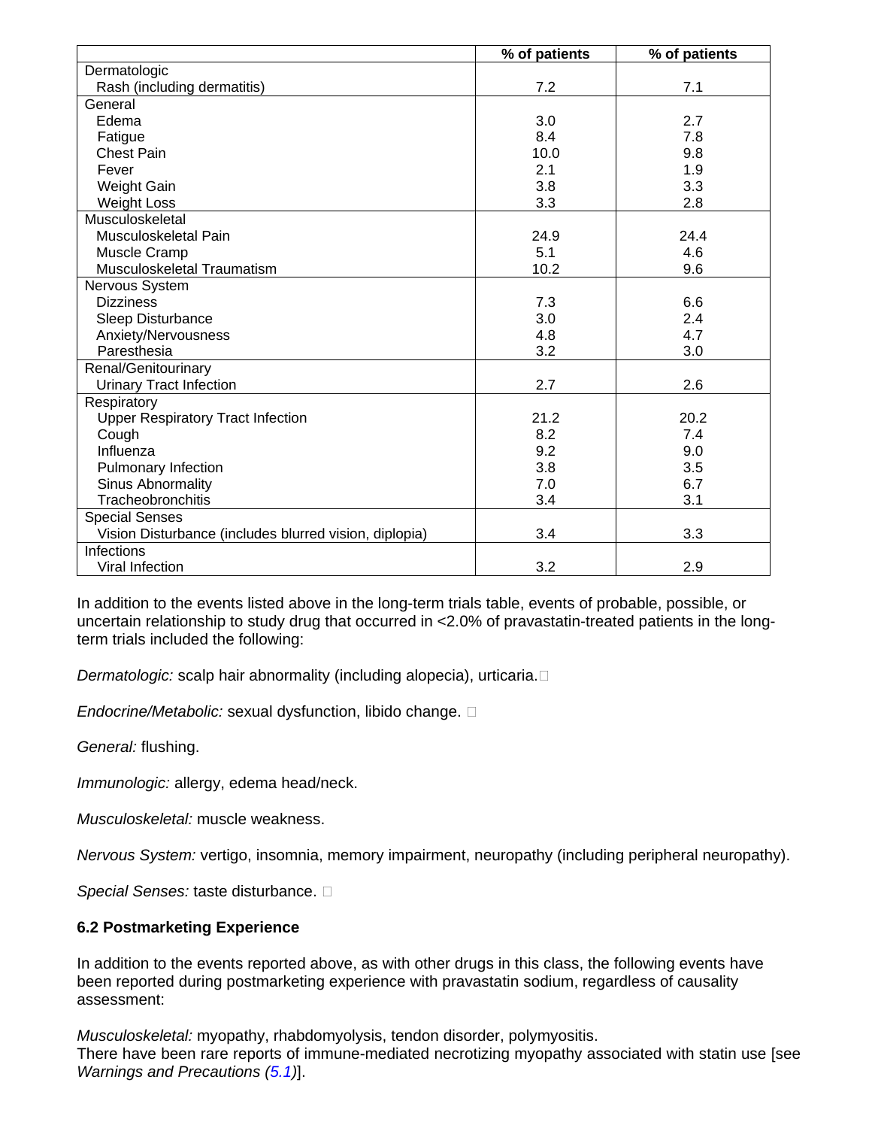|                                                        | % of patients | % of patients |
|--------------------------------------------------------|---------------|---------------|
| Dermatologic                                           |               |               |
| Rash (including dermatitis)                            | 7.2           | 7.1           |
| General                                                |               |               |
| Edema                                                  | 3.0           | 2.7           |
| Fatigue                                                | 8.4           | 7.8           |
| <b>Chest Pain</b>                                      | 10.0          | 9.8           |
| Fever                                                  | 2.1           | 1.9           |
| Weight Gain                                            | 3.8           | 3.3           |
| <b>Weight Loss</b>                                     | 3.3           | 2.8           |
| Musculoskeletal                                        |               |               |
| Musculoskeletal Pain                                   | 24.9          | 24.4          |
| Muscle Cramp                                           | 5.1           | 4.6           |
| Musculoskeletal Traumatism                             | 10.2          | 9.6           |
| Nervous System                                         |               |               |
| <b>Dizziness</b>                                       | 7.3           | 6.6           |
| Sleep Disturbance                                      | 3.0           | 2.4           |
| Anxiety/Nervousness                                    | 4.8           | 4.7           |
| Paresthesia                                            | 3.2           | 3.0           |
| Renal/Genitourinary                                    |               |               |
| <b>Urinary Tract Infection</b>                         | 2.7           | 2.6           |
| Respiratory                                            |               |               |
| <b>Upper Respiratory Tract Infection</b>               | 21.2          | 20.2          |
| Cough                                                  | 8.2           | 7.4           |
| Influenza                                              | 9.2           | 9.0           |
| <b>Pulmonary Infection</b>                             | 3.8           | 3.5           |
| Sinus Abnormality                                      | 7.0           | 6.7           |
| Tracheobronchitis                                      | 3.4           | 3.1           |
| <b>Special Senses</b>                                  |               |               |
| Vision Disturbance (includes blurred vision, diplopia) | 3.4           | 3.3           |
| <b>Infections</b>                                      |               |               |
| Viral Infection                                        | 3.2           | 2.9           |

In addition to the events listed above in the long-term trials table, events of probable, possible, or uncertain relationship to study drug that occurred in <2.0% of pravastatin-treated patients in the longterm trials included the following:

*Dermatologic:* scalp hair abnormality (including alopecia), urticaria.

*Endocrine/Metabolic:* sexual dysfunction, libido change.

*General:* flushing.

*Immunologic:* allergy, edema head/neck.

*Musculoskeletal:* muscle weakness.

*Nervous System:* vertigo, insomnia, memory impairment, neuropathy (including peripheral neuropathy).

*Special Senses:* taste disturbance.

# <span id="page-8-0"></span>**6.2 Postmarketing Experience**

In addition to the events reported above, as with other drugs in this class, the following events have been reported during postmarketing experience with pravastatin sodium, regardless of causality assessment:

*Musculoskeletal:* myopathy, rhabdomyolysis, tendon disorder, polymyositis. There have been rare reports of immune-mediated necrotizing myopathy associated with statin use [see *Warnings and Precautions [\(5.1\)](#page-4-4)*].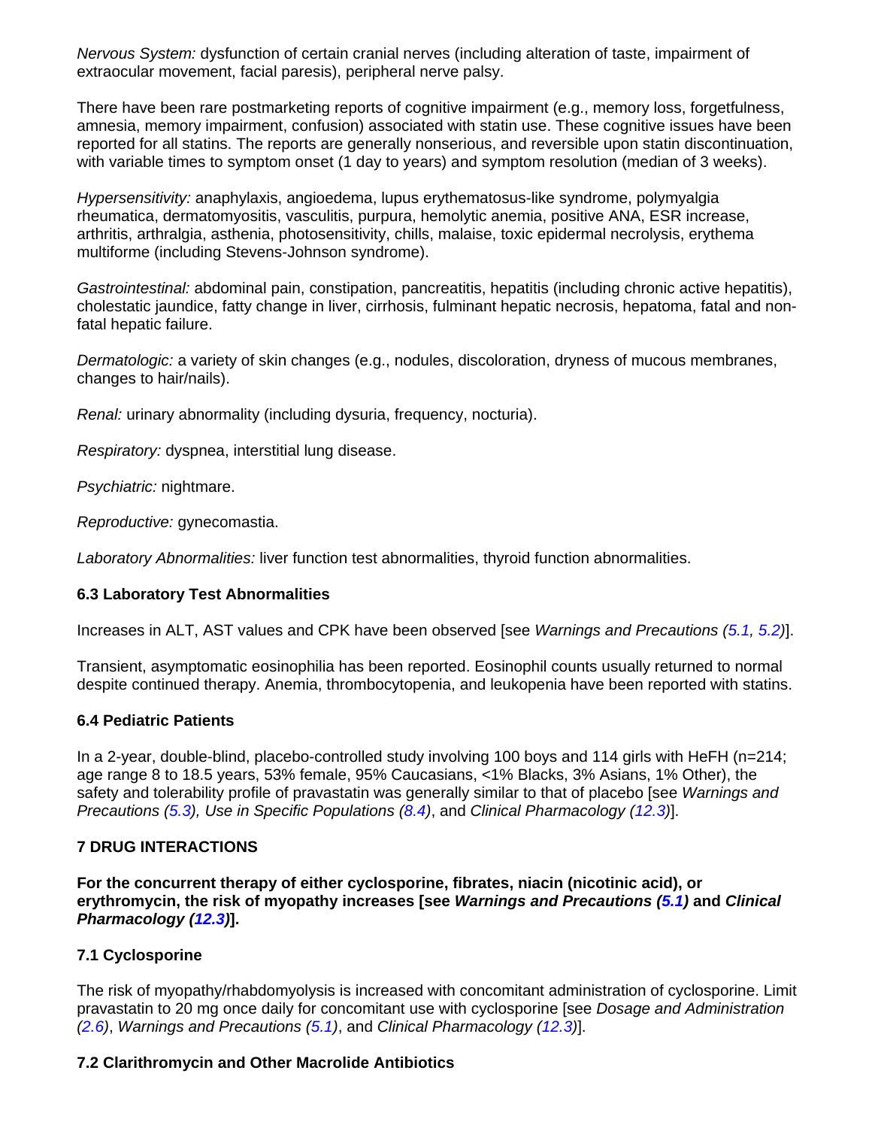*Nervous System:* dysfunction of certain cranial nerves (including alteration of taste, impairment of extraocular movement, facial paresis), peripheral nerve palsy.

There have been rare postmarketing reports of cognitive impairment (e.g., memory loss, forgetfulness, amnesia, memory impairment, confusion) associated with statin use. These cognitive issues have been reported for all statins. The reports are generally nonserious, and reversible upon statin discontinuation, with variable times to symptom onset (1 day to years) and symptom resolution (median of 3 weeks).

*Hypersensitivity:* anaphylaxis, angioedema, lupus erythematosus-like syndrome, polymyalgia rheumatica, dermatomyositis, vasculitis, purpura, hemolytic anemia, positive ANA, ESR increase, arthritis, arthralgia, asthenia, photosensitivity, chills, malaise, toxic epidermal necrolysis, erythema multiforme (including Stevens-Johnson syndrome).

*Gastrointestinal:* abdominal pain, constipation, pancreatitis, hepatitis (including chronic active hepatitis), cholestatic jaundice, fatty change in liver, cirrhosis, fulminant hepatic necrosis, hepatoma, fatal and nonfatal hepatic failure.

*Dermatologic:* a variety of skin changes (e.g., nodules, discoloration, dryness of mucous membranes, changes to hair/nails).

*Renal:* urinary abnormality (including dysuria, frequency, nocturia).

*Respiratory:* dyspnea, interstitial lung disease.

*Psychiatric:* nightmare.

*Reproductive:* gynecomastia.

*Laboratory Abnormalities:* liver function test abnormalities, thyroid function abnormalities.

# <span id="page-9-3"></span>**6.3 Laboratory Test Abnormalities**

Increases in ALT, AST values and CPK have been observed [see *Warnings and Precautions [\(5.1,](#page-4-4) [5.2\)](#page-5-0)*].

Transient, asymptomatic eosinophilia has been reported. Eosinophil counts usually returned to normal despite continued therapy. Anemia, thrombocytopenia, and leukopenia have been reported with statins.

### <span id="page-9-4"></span>**6.4 Pediatric Patients**

In a 2-year, double-blind, placebo-controlled study involving 100 boys and 114 girls with HeFH (n=214; age range 8 to 18.5 years, 53% female, 95% Caucasians, <1% Blacks, 3% Asians, 1% Other), the safety and tolerability profile of pravastatin was generally similar to that of placebo [see *Warnings and Precautions [\(5.3\)](#page-6-1), Use in Specific Populations [\(8.4\)](#page-11-2)*, and *Clinical Pharmacology [\(12.3\)](#page-13-2)*].

# <span id="page-9-0"></span>**7 DRUG INTERACTIONS**

**For the concurrent therapy of either cyclosporine, fibrates, niacin (nicotinic acid), or erythromycin, the risk of myopathy increases [see** *Warnings and Precautions [\(5.1\)](#page-4-4)* **and** *Clinical Pharmacology [\(12.3\)](#page-13-2)***].**

# <span id="page-9-1"></span>**7.1 Cyclosporine**

The risk of myopathy/rhabdomyolysis is increased with concomitant administration of cyclosporine. Limit pravastatin to 20 mg once daily for concomitant use with cyclosporine [see *Dosage and Administration [\(2.6\)](#page-3-4)*, *Warnings and Precautions [\(5.1\)](#page-4-4)*, and *Clinical Pharmacology [\(12.3\)](#page-13-2)*].

# <span id="page-9-2"></span>**7.2 Clarithromycin and Other Macrolide Antibiotics**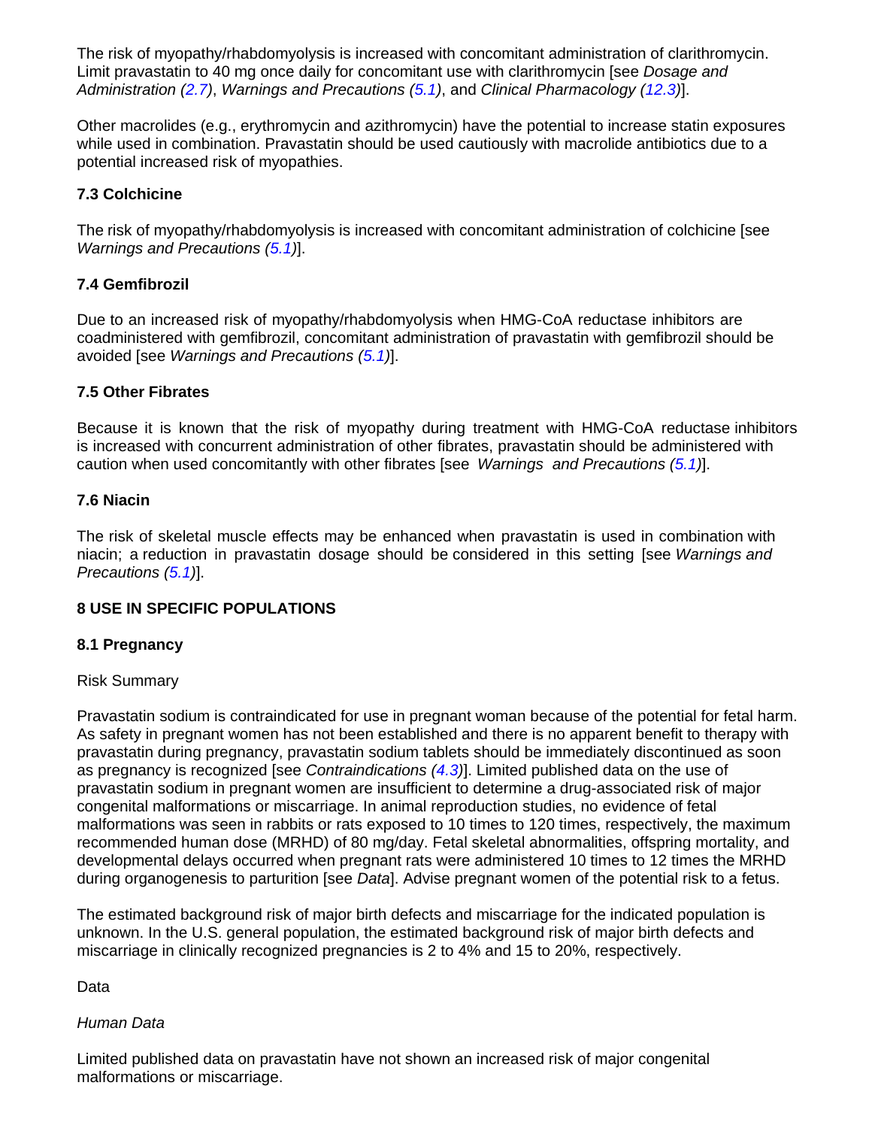The risk of myopathy/rhabdomyolysis is increased with concomitant administration of clarithromycin. Limit pravastatin to 40 mg once daily for concomitant use with clarithromycin [see *Dosage and Administration [\(2.7\)](#page-3-5)*, *Warnings and Precautions [\(5.1\)](#page-4-4)*, and *Clinical Pharmacology [\(12.3\)](#page-13-2)*].

Other macrolides (e.g., erythromycin and azithromycin) have the potential to increase statin exposures while used in combination. Pravastatin should be used cautiously with macrolide antibiotics due to a potential increased risk of myopathies.

# <span id="page-10-1"></span>**7.3 Colchicine**

The risk of myopathy/rhabdomyolysis is increased with concomitant administration of colchicine [see *Warnings and Precautions [\(5.1\)](#page-4-4)*].

# <span id="page-10-2"></span>**7.4 Gemfibrozil**

Due to an increased risk of myopathy/rhabdomyolysis when HMG-CoA reductase inhibitors are coadministered with gemfibrozil, concomitant administration of pravastatin with gemfibrozil should be avoided [see *Warnings and Precautions [\(5.1\)](#page-4-4)*].

# <span id="page-10-3"></span>**7.5 Other Fibrates**

Because it is known that the risk of myopathy during treatment with HMG-CoA reductase inhibitors is increased with concurrent administration of other fibrates, pravastatin should be administered with caution when used concomitantly with other fibrates [see *Warnings and Precautions [\(5.1\)](#page-4-4)*].

# <span id="page-10-4"></span>**7.6 Niacin**

The risk of skeletal muscle effects may be enhanced when pravastatin is used in combination with niacin; a reduction in pravastatin dosage should be considered in this setting [see *Warnings and Precautions [\(5.1\)](#page-4-4)*].

# <span id="page-10-5"></span>**8 USE IN SPECIFIC POPULATIONS**

# <span id="page-10-0"></span>**8.1 Pregnancy**

# Risk Summary

Pravastatin sodium is contraindicated for use in pregnant woman because of the potential for fetal harm. As safety in pregnant women has not been established and there is no apparent benefit to therapy with pravastatin during pregnancy, pravastatin sodium tablets should be immediately discontinued as soon as pregnancy is recognized [see *Contraindications [\(4.3\)](#page-4-0)*]. Limited published data on the use of pravastatin sodium in pregnant women are insufficient to determine a drug-associated risk of major congenital malformations or miscarriage. In animal reproduction studies, no evidence of fetal malformations was seen in rabbits or rats exposed to 10 times to 120 times, respectively, the maximum recommended human dose (MRHD) of 80 mg/day. Fetal skeletal abnormalities, offspring mortality, and developmental delays occurred when pregnant rats were administered 10 times to 12 times the MRHD during organogenesis to parturition [see *Data*]. Advise pregnant women of the potential risk to a fetus.

The estimated background risk of major birth defects and miscarriage for the indicated population is unknown. In the U.S. general population, the estimated background risk of major birth defects and miscarriage in clinically recognized pregnancies is 2 to 4% and 15 to 20%, respectively.

Data

# *Human Data*

Limited published data on pravastatin have not shown an increased risk of major congenital malformations or miscarriage.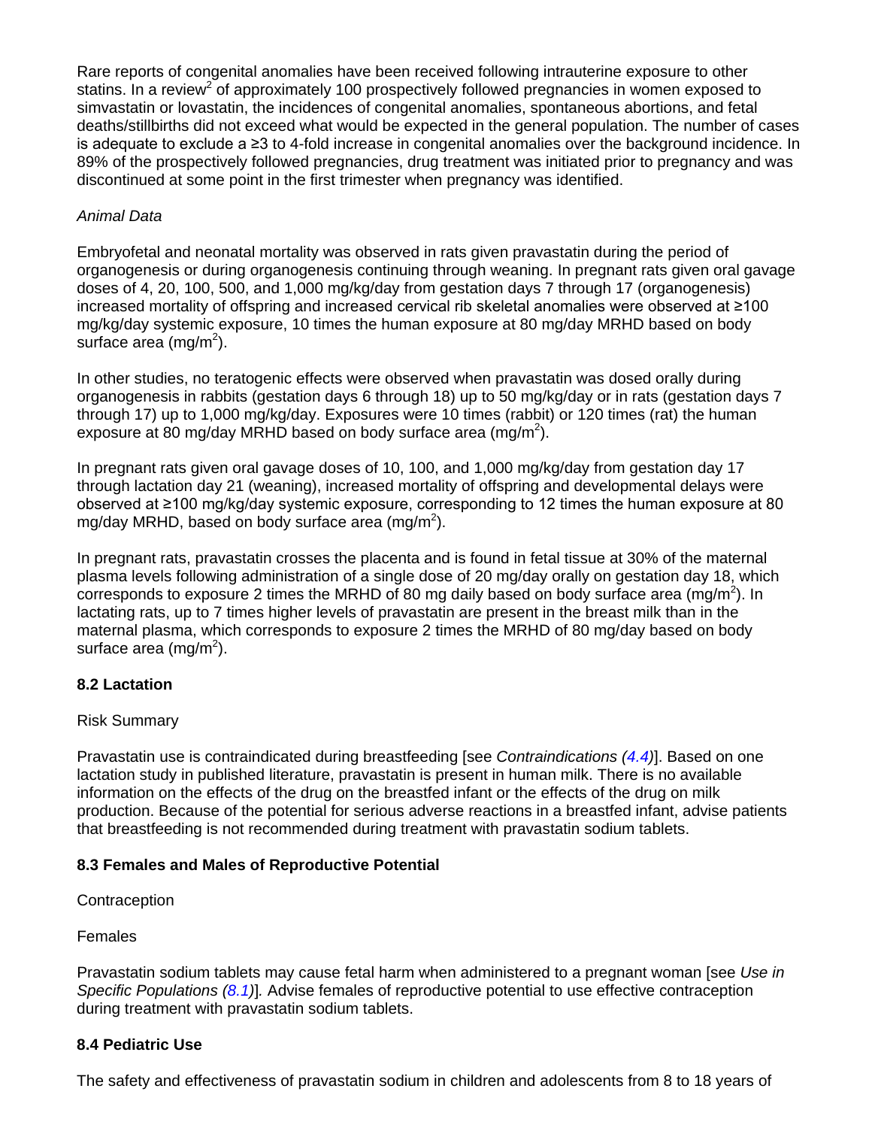Rare reports of congenital anomalies have been received following intrauterine exposure to other statins. In a review<sup>2</sup> of approximately 100 prospectively followed pregnancies in women exposed to simvastatin or lovastatin, the incidences of congenital anomalies, spontaneous abortions, and fetal deaths/stillbirths did not exceed what would be expected in the general population. The number of cases is adequate to exclude a ≥3 to 4-fold increase in congenital anomalies over the background incidence. In 89% of the prospectively followed pregnancies, drug treatment was initiated prior to pregnancy and was discontinued at some point in the first trimester when pregnancy was identified.

# *Animal Data*

Embryofetal and neonatal mortality was observed in rats given pravastatin during the period of organogenesis or during organogenesis continuing through weaning. In pregnant rats given oral gavage doses of 4, 20, 100, 500, and 1,000 mg/kg/day from gestation days 7 through 17 (organogenesis) increased mortality of offspring and increased cervical rib skeletal anomalies were observed at ≥100 mg/kg/day systemic exposure, 10 times the human exposure at 80 mg/day MRHD based on body surface area (mg/m<sup>2</sup>).

In other studies, no teratogenic effects were observed when pravastatin was dosed orally during organogenesis in rabbits (gestation days 6 through 18) up to 50 mg/kg/day or in rats (gestation days 7 through 17) up to 1,000 mg/kg/day. Exposures were 10 times (rabbit) or 120 times (rat) the human exposure at 80 mg/day MRHD based on body surface area (mg/m<sup>2</sup>).

In pregnant rats given oral gavage doses of 10, 100, and 1,000 mg/kg/day from gestation day 17 through lactation day 21 (weaning), increased mortality of offspring and developmental delays were observed at ≥100 mg/kg/day systemic exposure, corresponding to 12 times the human exposure at 80 mg/day MRHD, based on body surface area (mg/m<sup>2</sup>).

In pregnant rats, pravastatin crosses the placenta and is found in fetal tissue at 30% of the maternal plasma levels following administration of a single dose of 20 mg/day orally on gestation day 18, which corresponds to exposure 2 times the MRHD of 80 mg daily based on body surface area (mg/m<sup>2</sup>). In lactating rats, up to 7 times higher levels of pravastatin are present in the breast milk than in the maternal plasma, which corresponds to exposure 2 times the MRHD of 80 mg/day based on body surface area (mg/m<sup>2</sup>).

# <span id="page-11-1"></span>**8.2 Lactation**

# Risk Summary

Pravastatin use is contraindicated during breastfeeding [see *Contraindications [\(4.4\)](#page-4-1)*]. Based on one lactation study in published literature, pravastatin is present in human milk. There is no available information on the effects of the drug on the breastfed infant or the effects of the drug on milk production. Because of the potential for serious adverse reactions in a breastfed infant, advise patients that breastfeeding is not recommended during treatment with pravastatin sodium tablets.

# <span id="page-11-0"></span>**8.3 Females and Males of Reproductive Potential**

**Contraception** 

Females

Pravastatin sodium tablets may cause fetal harm when administered to a pregnant woman [see *Use in Specific Populations [\(8.1\)](#page-10-0)*]*.* Advise females of reproductive potential to use effective contraception during treatment with pravastatin sodium tablets.

# <span id="page-11-2"></span>**8.4 Pediatric Use**

The safety and effectiveness of pravastatin sodium in children and adolescents from 8 to 18 years of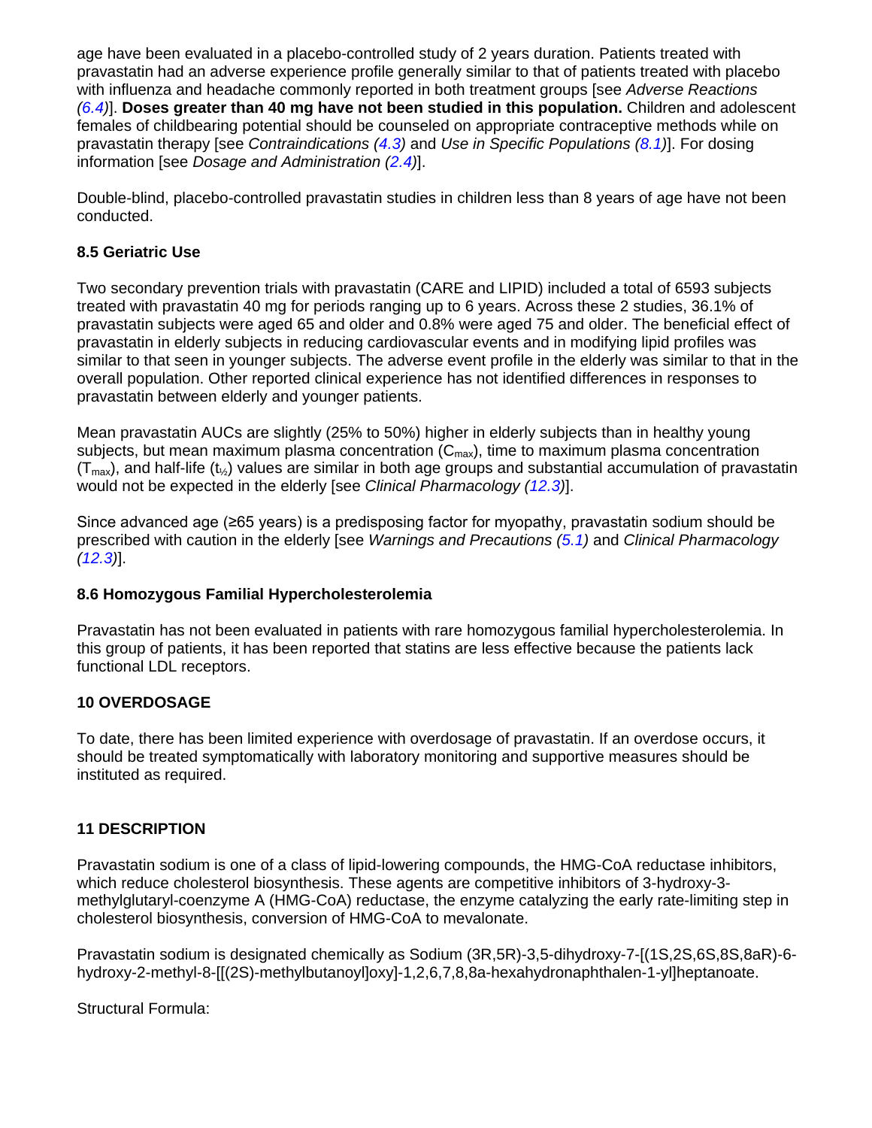age have been evaluated in a placebo-controlled study of 2 years duration. Patients treated with pravastatin had an adverse experience profile generally similar to that of patients treated with placebo with influenza and headache commonly reported in both treatment groups [see *Adverse Reactions [\(6.4\)](#page-9-4)*]. **Doses greater than 40 mg have not been studied in this population.** Children and adolescent females of childbearing potential should be counseled on appropriate contraceptive methods while on pravastatin therapy [see *Contraindications [\(4.3\)](#page-4-0)* and *Use in Specific Populations [\(8.1\)](#page-10-0)*]. For dosing information [see *Dosage and Administration [\(2.4\)](#page-3-2)*].

Double-blind, placebo-controlled pravastatin studies in children less than 8 years of age have not been conducted.

# <span id="page-12-1"></span>**8.5 Geriatric Use**

Two secondary prevention trials with pravastatin (CARE and LIPID) included a total of 6593 subjects treated with pravastatin 40 mg for periods ranging up to 6 years. Across these 2 studies, 36.1% of pravastatin subjects were aged 65 and older and 0.8% were aged 75 and older. The beneficial effect of pravastatin in elderly subjects in reducing cardiovascular events and in modifying lipid profiles was similar to that seen in younger subjects. The adverse event profile in the elderly was similar to that in the overall population. Other reported clinical experience has not identified differences in responses to pravastatin between elderly and younger patients.

Mean pravastatin AUCs are slightly (25% to 50%) higher in elderly subjects than in healthy young subjects, but mean maximum plasma concentration  $(C_{\text{max}})$ , time to maximum plasma concentration  $(T<sub>max</sub>)$ , and half-life (t<sub>%</sub>) values are similar in both age groups and substantial accumulation of pravastatin would not be expected in the elderly [see *Clinical Pharmacology [\(12.3\)](#page-13-2)*].

Since advanced age (≥65 years) is a predisposing factor for myopathy, pravastatin sodium should be prescribed with caution in the elderly [see *Warnings and Precautions [\(5.1\)](#page-4-4)* and *Clinical Pharmacology [\(12.3\)](#page-13-2)*].

# <span id="page-12-2"></span>**8.6 Homozygous Familial Hypercholesterolemia**

Pravastatin has not been evaluated in patients with rare homozygous familial hypercholesterolemia. In this group of patients, it has been reported that statins are less effective because the patients lack functional LDL receptors.

# <span id="page-12-3"></span>**10 OVERDOSAGE**

To date, there has been limited experience with overdosage of pravastatin. If an overdose occurs, it should be treated symptomatically with laboratory monitoring and supportive measures should be instituted as required.

# <span id="page-12-0"></span>**11 DESCRIPTION**

Pravastatin sodium is one of a class of lipid-lowering compounds, the HMG-CoA reductase inhibitors, which reduce cholesterol biosynthesis. These agents are competitive inhibitors of 3-hydroxy-3 methylglutaryl-coenzyme A (HMG-CoA) reductase, the enzyme catalyzing the early rate-limiting step in cholesterol biosynthesis, conversion of HMG-CoA to mevalonate.

Pravastatin sodium is designated chemically as Sodium (3R,5R)-3,5-dihydroxy-7-[(1S,2S,6S,8S,8aR)-6 hydroxy-2-methyl-8-[[(2S)-methylbutanoyl]oxy]-1,2,6,7,8,8a-hexahydronaphthalen-1-yl]heptanoate.

Structural Formula: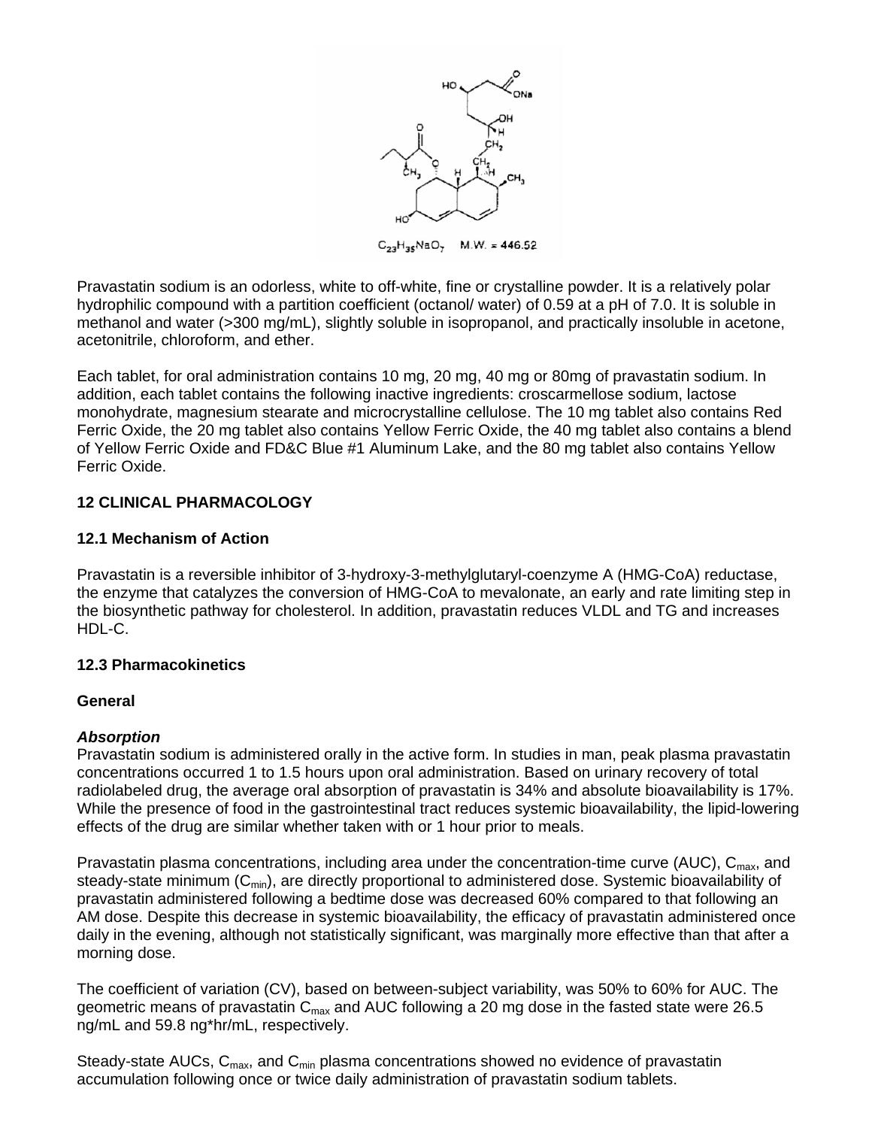

 $C_{23}H_{36}NaO_7$  $M.W. = 446.52$ 

Pravastatin sodium is an odorless, white to off-white, fine or crystalline powder. It is a relatively polar hydrophilic compound with a partition coefficient (octanol/ water) of 0.59 at a pH of 7.0. It is soluble in methanol and water (>300 mg/mL), slightly soluble in isopropanol, and practically insoluble in acetone, acetonitrile, chloroform, and ether.

Each tablet, for oral administration contains 10 mg, 20 mg, 40 mg or 80mg of pravastatin sodium. In addition, each tablet contains the following inactive ingredients: croscarmellose sodium, lactose monohydrate, magnesium stearate and microcrystalline cellulose. The 10 mg tablet also contains Red Ferric Oxide, the 20 mg tablet also contains Yellow Ferric Oxide, the 40 mg tablet also contains a blend of Yellow Ferric Oxide and FD&C Blue #1 Aluminum Lake, and the 80 mg tablet also contains Yellow Ferric Oxide.

# <span id="page-13-0"></span>**12 CLINICAL PHARMACOLOGY**

# <span id="page-13-1"></span>**12.1 Mechanism of Action**

Pravastatin is a reversible inhibitor of 3-hydroxy-3-methylglutaryl-coenzyme A (HMG-CoA) reductase, the enzyme that catalyzes the conversion of HMG-CoA to mevalonate, an early and rate limiting step in the biosynthetic pathway for cholesterol. In addition, pravastatin reduces VLDL and TG and increases HDL-C.

# <span id="page-13-2"></span>**12.3 Pharmacokinetics**

# **General**

# *Absorption*

Pravastatin sodium is administered orally in the active form. In studies in man, peak plasma pravastatin concentrations occurred 1 to 1.5 hours upon oral administration. Based on urinary recovery of total radiolabeled drug, the average oral absorption of pravastatin is 34% and absolute bioavailability is 17%. While the presence of food in the gastrointestinal tract reduces systemic bioavailability, the lipid-lowering effects of the drug are similar whether taken with or 1 hour prior to meals.

Pravastatin plasma concentrations, including area under the concentration-time curve (AUC),  $C_{max}$ , and steady-state minimum  $(C_{min})$ , are directly proportional to administered dose. Systemic bioavailability of pravastatin administered following a bedtime dose was decreased 60% compared to that following an AM dose. Despite this decrease in systemic bioavailability, the efficacy of pravastatin administered once daily in the evening, although not statistically significant, was marginally more effective than that after a morning dose.

The coefficient of variation (CV), based on between-subject variability, was 50% to 60% for AUC. The geometric means of pravastatin C<sub>max</sub> and AUC following a 20 mg dose in the fasted state were 26.5 ng/mL and 59.8 ng\*hr/mL, respectively.

Steady-state AUCs,  $C_{\text{max}}$ , and  $C_{\text{min}}$  plasma concentrations showed no evidence of pravastatin accumulation following once or twice daily administration of pravastatin sodium tablets.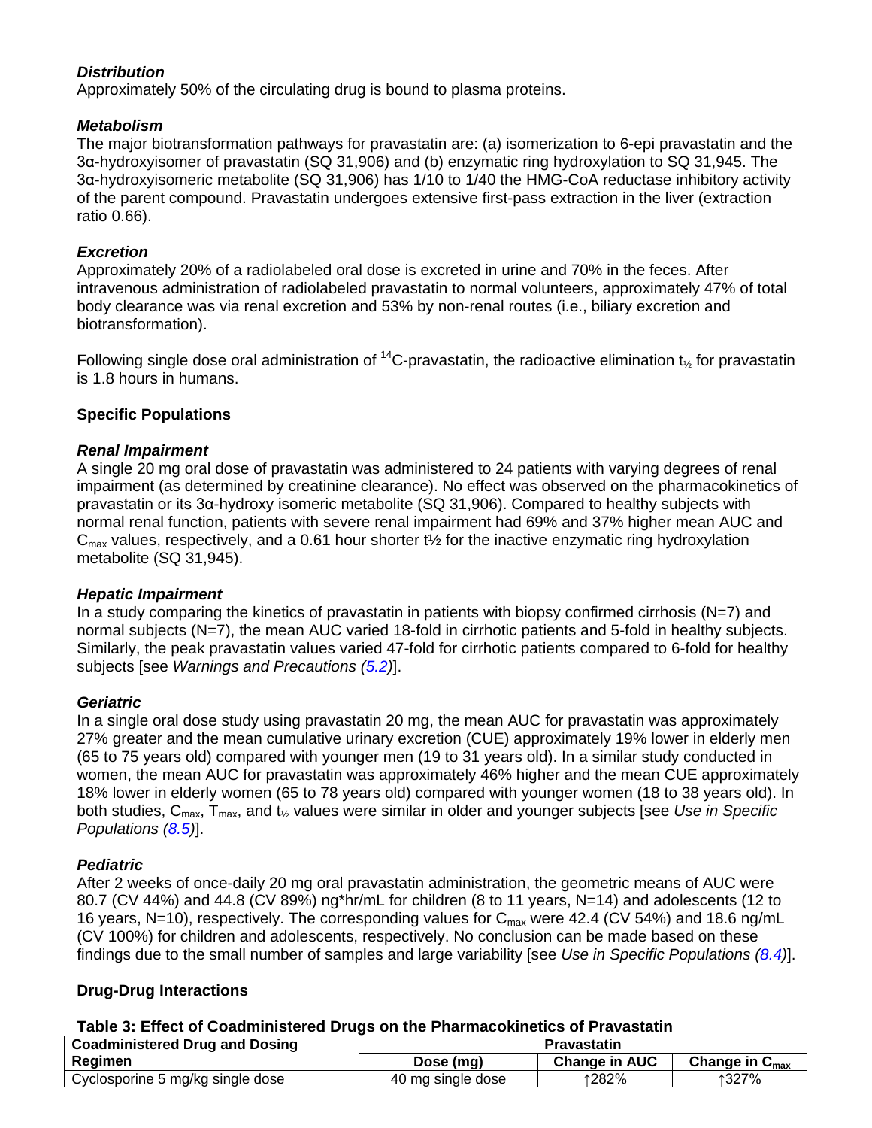# *Distribution*

Approximately 50% of the circulating drug is bound to plasma proteins.

### *Metabolism*

The major biotransformation pathways for pravastatin are: (a) isomerization to 6-epi pravastatin and the 3α-hydroxyisomer of pravastatin (SQ 31,906) and (b) enzymatic ring hydroxylation to SQ 31,945. The 3α-hydroxyisomeric metabolite (SQ 31,906) has 1/10 to 1/40 the HMG-CoA reductase inhibitory activity of the parent compound. Pravastatin undergoes extensive first-pass extraction in the liver (extraction ratio 0.66).

# *Excretion*

Approximately 20% of a radiolabeled oral dose is excreted in urine and 70% in the feces. After intravenous administration of radiolabeled pravastatin to normal volunteers, approximately 47% of total body clearance was via renal excretion and 53% by non-renal routes (i.e., biliary excretion and biotransformation).

Following single dose oral administration of <sup>14</sup>C-pravastatin, the radioactive elimination t<sub>%</sub> for pravastatin is 1.8 hours in humans.

# **Specific Populations**

## *Renal Impairment*

A single 20 mg oral dose of pravastatin was administered to 24 patients with varying degrees of renal impairment (as determined by creatinine clearance). No effect was observed on the pharmacokinetics of pravastatin or its 3α-hydroxy isomeric metabolite (SQ 31,906). Compared to healthy subjects with normal renal function, patients with severe renal impairment had 69% and 37% higher mean AUC and  $C<sub>max</sub>$  values, respectively, and a 0.61 hour shorter t<sup>1</sup>/<sub>2</sub> for the inactive enzymatic ring hydroxylation metabolite (SQ 31,945).

### *Hepatic Impairment*

In a study comparing the kinetics of pravastatin in patients with biopsy confirmed cirrhosis (N=7) and normal subjects (N=7), the mean AUC varied 18-fold in cirrhotic patients and 5-fold in healthy subjects. Similarly, the peak pravastatin values varied 47-fold for cirrhotic patients compared to 6-fold for healthy subjects [see *Warnings and Precautions [\(5.2\)](#page-5-0)*].

### *Geriatric*

In a single oral dose study using pravastatin 20 mg, the mean AUC for pravastatin was approximately 27% greater and the mean cumulative urinary excretion (CUE) approximately 19% lower in elderly men (65 to 75 years old) compared with younger men (19 to 31 years old). In a similar study conducted in women, the mean AUC for pravastatin was approximately 46% higher and the mean CUE approximately 18% lower in elderly women (65 to 78 years old) compared with younger women (18 to 38 years old). In both studies, Cmax, Tmax, and t½ values were similar in older and younger subjects [see *Use in Specific Populations [\(8.5\)](#page-12-1)*].

### *Pediatric*

After 2 weeks of once-daily 20 mg oral pravastatin administration, the geometric means of AUC were 80.7 (CV 44%) and 44.8 (CV 89%) ng\*hr/mL for children (8 to 11 years, N=14) and adolescents (12 to 16 years, N=10), respectively. The corresponding values for  $C_{\text{max}}$  were 42.4 (CV 54%) and 18.6 ng/mL (CV 100%) for children and adolescents, respectively. No conclusion can be made based on these findings due to the small number of samples and large variability [see *Use in Specific Populations [\(8.4\)](#page-11-2)*].

# **Drug-Drug Interactions**

### **Table 3: Effect of Coadministered Drugs on the Pharmacokinetics of Pravastatin**

| <b>Coadministered Drug and Dosing</b> | <b>Pravastatin</b> |               |                            |
|---------------------------------------|--------------------|---------------|----------------------------|
| Regimen                               | Dose (mg)          | Change in AUC | Change in $C_{\text{max}}$ |
| Cyclosporine 5 mg/kg single dose      | 40 mg single dose  | ↑282%         | ↑327%                      |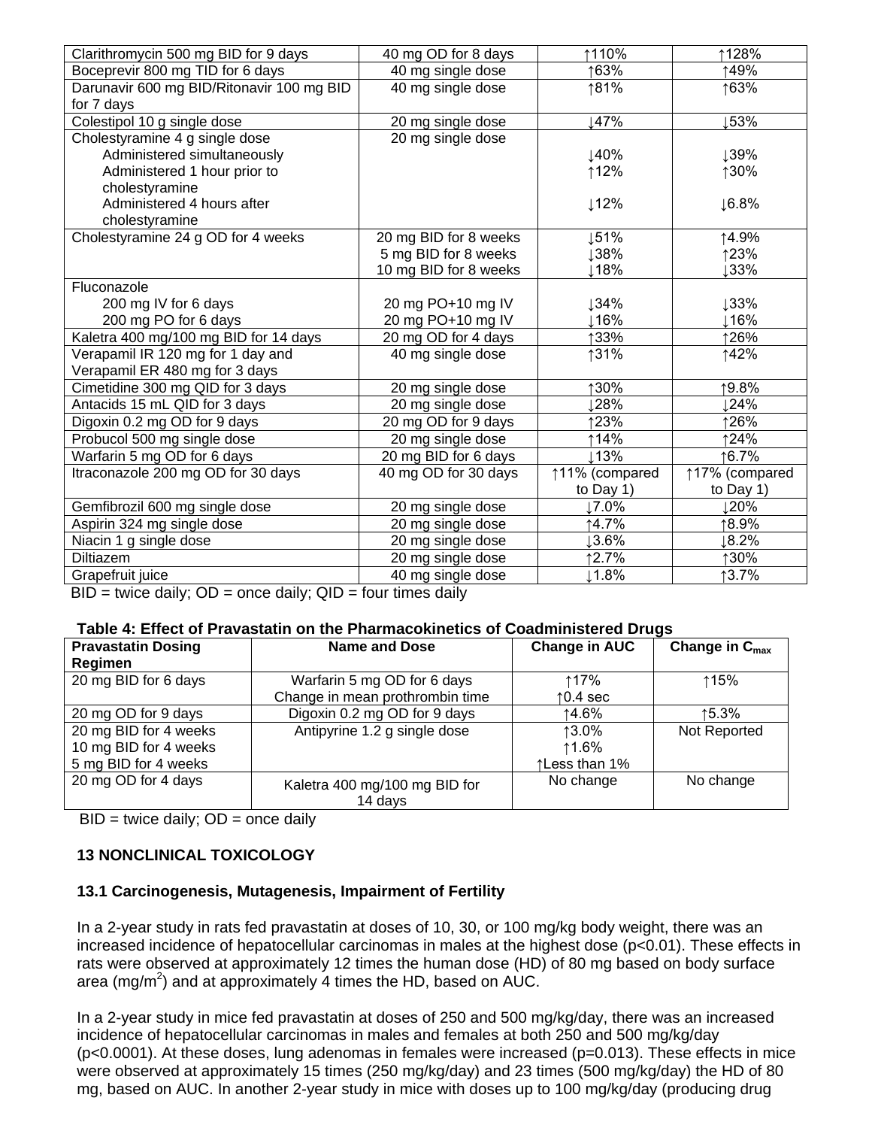| Clarithromycin 500 mg BID for 9 days                                                                                                                                 | 40 mg OD for 8 days                                                | ↑110%            | ↑128%             |
|----------------------------------------------------------------------------------------------------------------------------------------------------------------------|--------------------------------------------------------------------|------------------|-------------------|
| Boceprevir 800 mg TID for 6 days                                                                                                                                     | 40 mg single dose                                                  | ↑63%             | ↑49%              |
| Darunavir 600 mg BID/Ritonavir 100 mg BID                                                                                                                            | 40 mg single dose                                                  | ↑81%             | ↑63%              |
| for 7 days                                                                                                                                                           |                                                                    |                  |                   |
| Colestipol 10 g single dose                                                                                                                                          | 20 mg single dose                                                  | 147%             | 53%               |
| Cholestyramine 4 g single dose                                                                                                                                       | 20 mg single dose                                                  |                  |                   |
| Administered simultaneously                                                                                                                                          |                                                                    | ↓40%             | ↓39%              |
| Administered 1 hour prior to                                                                                                                                         |                                                                    | ↑12%             | ↑30%              |
| cholestyramine                                                                                                                                                       |                                                                    |                  |                   |
| Administered 4 hours after                                                                                                                                           |                                                                    | $12\%$           | $\downarrow$ 6.8% |
| cholestyramine                                                                                                                                                       |                                                                    |                  |                   |
| Cholestyramine 24 g OD for 4 weeks                                                                                                                                   | 20 mg BID for 8 weeks                                              | $\downarrow$ 51% | ↑4.9%             |
|                                                                                                                                                                      | 5 mg BID for 8 weeks                                               | ↓38%             | ↑23%              |
|                                                                                                                                                                      | 10 mg BID for 8 weeks                                              | ⊥18%             | ↓33%              |
| Fluconazole                                                                                                                                                          |                                                                    |                  |                   |
| 200 mg IV for 6 days                                                                                                                                                 | 20 mg PO+10 mg IV                                                  | 134%             | ↓33%              |
| 200 mg PO for 6 days                                                                                                                                                 | 20 mg PO+10 mg IV                                                  | 16%              | 16%               |
| Kaletra 400 mg/100 mg BID for 14 days                                                                                                                                | 20 mg OD for 4 days                                                | ↑33%             | 126%              |
| Verapamil IR 120 mg for 1 day and                                                                                                                                    | 40 mg single dose                                                  | ↑31%             | ↑42%              |
| Verapamil ER 480 mg for 3 days                                                                                                                                       |                                                                    |                  |                   |
| Cimetidine 300 mg QID for 3 days                                                                                                                                     | 20 mg single dose                                                  | ↑30%             | ↑9.8%             |
| Antacids 15 mL QID for 3 days                                                                                                                                        | 20 mg single dose                                                  | 128%             | ⊥24%              |
| Digoxin 0.2 mg OD for 9 days                                                                                                                                         | 20 mg OD for 9 days                                                | ↑23%             | ↑26%              |
| Probucol 500 mg single dose                                                                                                                                          | 20 mg single dose                                                  | ↑14%             | ↑24%              |
| Warfarin 5 mg OD for 6 days                                                                                                                                          | 20 mg BID for 6 days                                               | ⊥13%             | ↑6.7%             |
| Itraconazole 200 mg OD for 30 days                                                                                                                                   | 40 mg OD for 30 days                                               | ↑11% (compared   | ↑17% (compared    |
|                                                                                                                                                                      |                                                                    | to Day 1)        | to Day $1$ )      |
| Gemfibrozil 600 mg single dose                                                                                                                                       | 20 mg single dose                                                  | ⊥7.0%            | 120%              |
| Aspirin 324 mg single dose                                                                                                                                           | 20 mg single dose                                                  | 14.7%            | ↑8.9%             |
| Niacin 1 g single dose                                                                                                                                               | 20 mg single dose                                                  | $13.6\%$         | $18.2\%$          |
| <b>Diltiazem</b>                                                                                                                                                     | 20 mg single dose                                                  | ↑2.7%            | ↑30%              |
| Grapefruit juice                                                                                                                                                     | 40 mg single dose                                                  | $1.8\%$          | ↑3.7%             |
| $\mathsf{DID}$ and a solution $\mathsf{DID}$<br>$\mathbf{a}$ $\mathbf{a}$ $\mathbf{a}$ $\mathbf{b}$ $\mathbf{a}$ $\mathbf{b}$ $\mathbf{a}$ $\mathbf{c}$ $\mathbf{c}$ | $f_{\alpha}, \ldots, f_{\alpha}$ and $f_{\alpha}$ and $f_{\alpha}$ |                  |                   |

 $BID =$  twice daily;  $OD =$  once daily;  $QID =$  four times daily

### **Table 4: Effect of Pravastatin on the Pharmacokinetics of Coadministered Drugs**

| <b>Pravastatin Dosing</b> | <b>Name and Dose</b>            | <b>Change in AUC</b> | Change in $C_{\text{max}}$ |
|---------------------------|---------------------------------|----------------------|----------------------------|
| Regimen                   |                                 |                      |                            |
| 20 mg BID for 6 days      | Warfarin 5 mg OD for 6 days     | ↑17%                 | ↑15%                       |
|                           | Change in mean prothrombin time | $\uparrow$ 0.4 sec   |                            |
| 20 mg OD for 9 days       | Digoxin 0.2 mg OD for 9 days    | ↑4.6%                | ↑5.3%                      |
| 20 mg BID for 4 weeks     | Antipyrine 1.2 g single dose    | ↑3.0%                | Not Reported               |
| 10 mg BID for 4 weeks     |                                 | ↑1.6%                |                            |
| 5 mg BID for 4 weeks      |                                 | ↑Less than 1%        |                            |
| 20 mg OD for 4 days       | Kaletra 400 mg/100 mg BID for   | No change            | No change                  |
|                           | 14 days                         |                      |                            |

 $BID =$  twice daily;  $OD =$  once daily

# <span id="page-15-0"></span>**13 NONCLINICAL TOXICOLOGY**

# <span id="page-15-1"></span>**13.1 Carcinogenesis, Mutagenesis, Impairment of Fertility**

In a 2-year study in rats fed pravastatin at doses of 10, 30, or 100 mg/kg body weight, there was an increased incidence of hepatocellular carcinomas in males at the highest dose (p<0.01). These effects in rats were observed at approximately 12 times the human dose (HD) of 80 mg based on body surface area (mg/m<sup>2</sup>) and at approximately 4 times the HD, based on AUC.

In a 2-year study in mice fed pravastatin at doses of 250 and 500 mg/kg/day, there was an increased incidence of hepatocellular carcinomas in males and females at both 250 and 500 mg/kg/day (p<0.0001). At these doses, lung adenomas in females were increased (p=0.013). These effects in mice were observed at approximately 15 times (250 mg/kg/day) and 23 times (500 mg/kg/day) the HD of 80 mg, based on AUC. In another 2-year study in mice with doses up to 100 mg/kg/day (producing drug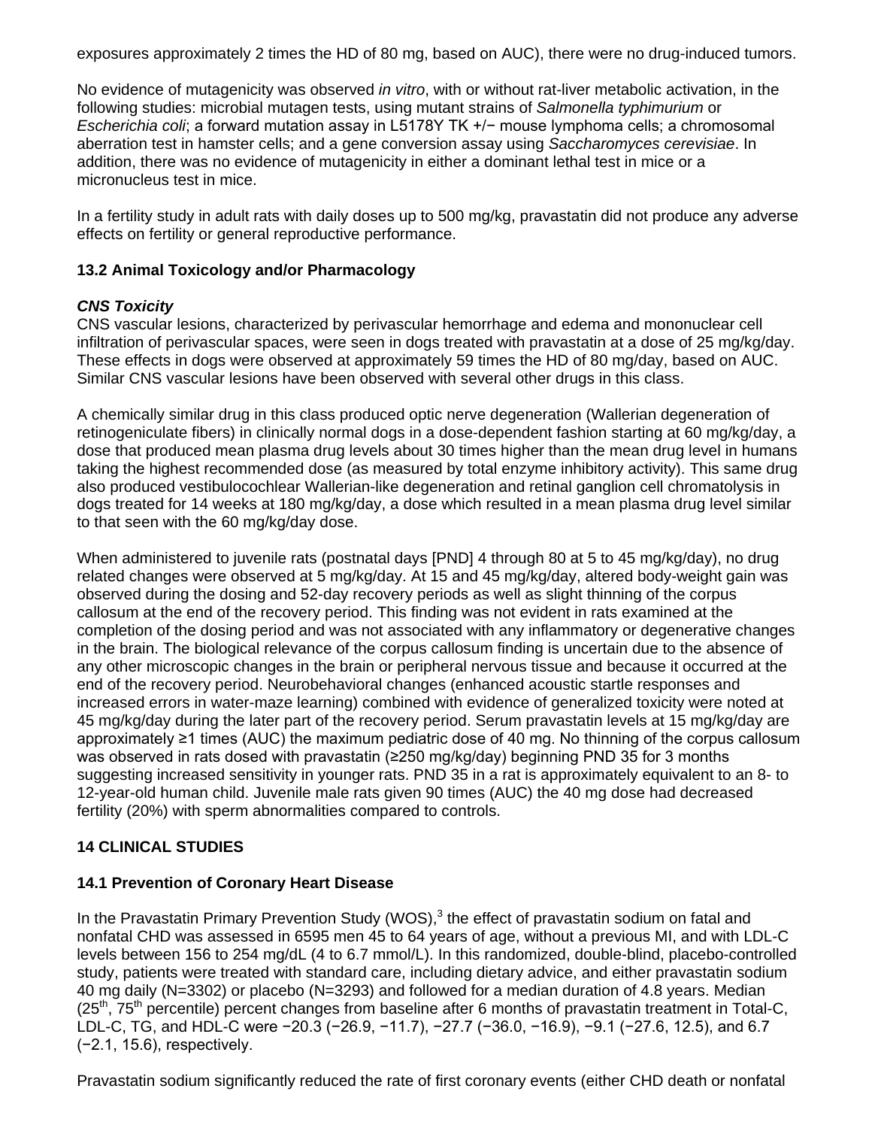exposures approximately 2 times the HD of 80 mg, based on AUC), there were no drug-induced tumors.

No evidence of mutagenicity was observed *in vitro*, with or without rat-liver metabolic activation, in the following studies: microbial mutagen tests, using mutant strains of *Salmonella typhimurium* or *Escherichia coli*; a forward mutation assay in L5178Y TK +/− mouse lymphoma cells; a chromosomal aberration test in hamster cells; and a gene conversion assay using *Saccharomyces cerevisiae*. In addition, there was no evidence of mutagenicity in either a dominant lethal test in mice or a micronucleus test in mice.

In a fertility study in adult rats with daily doses up to 500 mg/kg, pravastatin did not produce any adverse effects on fertility or general reproductive performance.

# <span id="page-16-0"></span>**13.2 Animal Toxicology and/or Pharmacology**

# *CNS Toxicity*

CNS vascular lesions, characterized by perivascular hemorrhage and edema and mononuclear cell infiltration of perivascular spaces, were seen in dogs treated with pravastatin at a dose of 25 mg/kg/day. These effects in dogs were observed at approximately 59 times the HD of 80 mg/day, based on AUC. Similar CNS vascular lesions have been observed with several other drugs in this class.

A chemically similar drug in this class produced optic nerve degeneration (Wallerian degeneration of retinogeniculate fibers) in clinically normal dogs in a dose-dependent fashion starting at 60 mg/kg/day, a dose that produced mean plasma drug levels about 30 times higher than the mean drug level in humans taking the highest recommended dose (as measured by total enzyme inhibitory activity). This same drug also produced vestibulocochlear Wallerian-like degeneration and retinal ganglion cell chromatolysis in dogs treated for 14 weeks at 180 mg/kg/day, a dose which resulted in a mean plasma drug level similar to that seen with the 60 mg/kg/day dose.

When administered to juvenile rats (postnatal days [PND] 4 through 80 at 5 to 45 mg/kg/day), no drug related changes were observed at 5 mg/kg/day. At 15 and 45 mg/kg/day, altered body-weight gain was observed during the dosing and 52-day recovery periods as well as slight thinning of the corpus callosum at the end of the recovery period. This finding was not evident in rats examined at the completion of the dosing period and was not associated with any inflammatory or degenerative changes in the brain. The biological relevance of the corpus callosum finding is uncertain due to the absence of any other microscopic changes in the brain or peripheral nervous tissue and because it occurred at the end of the recovery period. Neurobehavioral changes (enhanced acoustic startle responses and increased errors in water-maze learning) combined with evidence of generalized toxicity were noted at 45 mg/kg/day during the later part of the recovery period. Serum pravastatin levels at 15 mg/kg/day are approximately ≥1 times (AUC) the maximum pediatric dose of 40 mg. No thinning of the corpus callosum was observed in rats dosed with pravastatin (≥250 mg/kg/day) beginning PND 35 for 3 months suggesting increased sensitivity in younger rats. PND 35 in a rat is approximately equivalent to an 8- to 12-year-old human child. Juvenile male rats given 90 times (AUC) the 40 mg dose had decreased fertility (20%) with sperm abnormalities compared to controls.

# <span id="page-16-1"></span>**14 CLINICAL STUDIES**

# <span id="page-16-2"></span>**14.1 Prevention of Coronary Heart Disease**

In the Pravastatin Primary Prevention Study (WOS),<sup>3</sup> the effect of pravastatin sodium on fatal and nonfatal CHD was assessed in 6595 men 45 to 64 years of age, without a previous MI, and with LDL-C levels between 156 to 254 mg/dL (4 to 6.7 mmol/L). In this randomized, double-blind, placebo-controlled study, patients were treated with standard care, including dietary advice, and either pravastatin sodium 40 mg daily (N=3302) or placebo (N=3293) and followed for a median duration of 4.8 years. Median  $(25<sup>th</sup>, 75<sup>th</sup>$  percentile) percent changes from baseline after 6 months of pravastatin treatment in Total-C, LDL-C, TG, and HDL-C were −20.3 (−26.9, −11.7), −27.7 (−36.0, −16.9), −9.1 (−27.6, 12.5), and 6.7 (−2.1, 15.6), respectively.

Pravastatin sodium significantly reduced the rate of first coronary events (either CHD death or nonfatal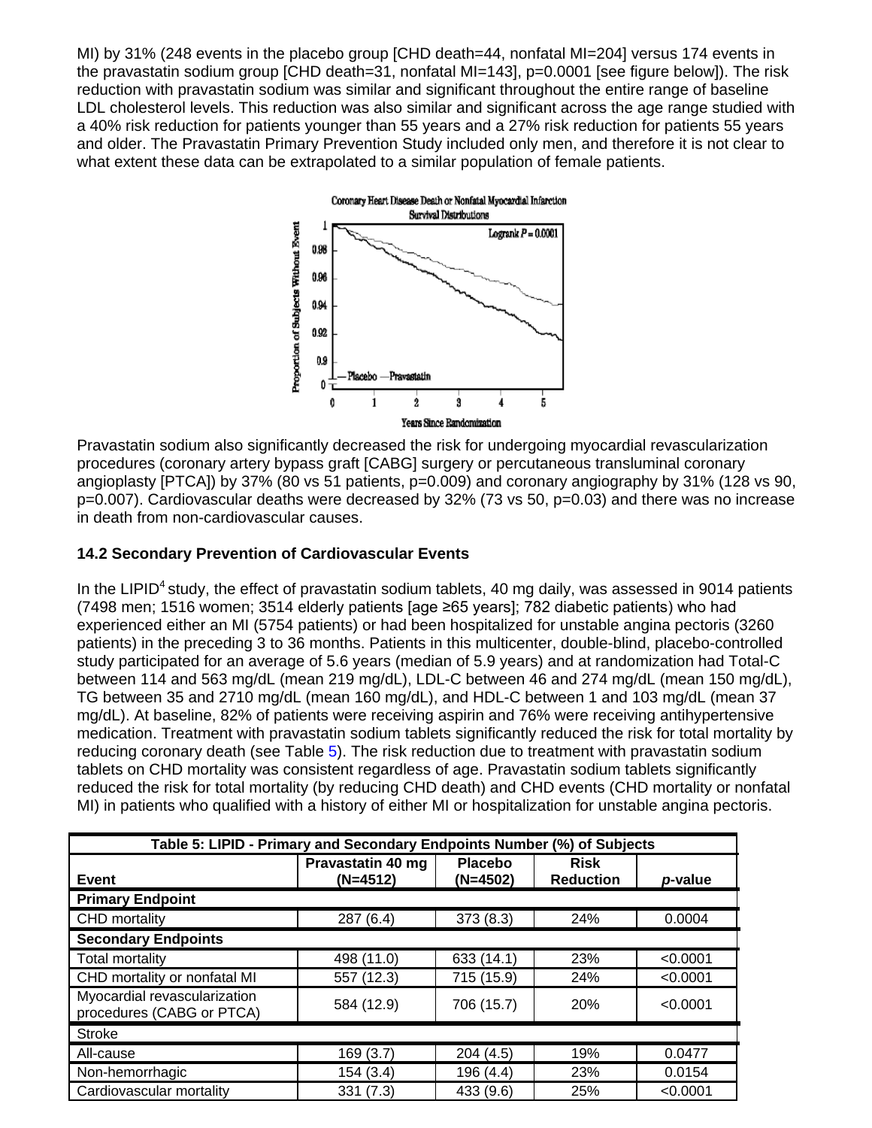MI) by 31% (248 events in the placebo group [CHD death=44, nonfatal MI=204] versus 174 events in the pravastatin sodium group [CHD death=31, nonfatal MI=143], p=0.0001 [see figure below]). The risk reduction with pravastatin sodium was similar and significant throughout the entire range of baseline LDL cholesterol levels. This reduction was also similar and significant across the age range studied with a 40% risk reduction for patients younger than 55 years and a 27% risk reduction for patients 55 years and older. The Pravastatin Primary Prevention Study included only men, and therefore it is not clear to what extent these data can be extrapolated to a similar population of female patients.



Pravastatin sodium also significantly decreased the risk for undergoing myocardial revascularization procedures (coronary artery bypass graft [CABG] surgery or percutaneous transluminal coronary angioplasty [PTCA]) by 37% (80 vs 51 patients, p=0.009) and coronary angiography by 31% (128 vs 90, p=0.007). Cardiovascular deaths were decreased by 32% (73 vs 50, p=0.03) and there was no increase in death from non-cardiovascular causes.

# <span id="page-17-0"></span>**14.2 Secondary Prevention of Cardiovascular Events**

In the LIPID<sup>4</sup> study, the effect of pravastatin sodium tablets, 40 mg daily, was assessed in 9014 patients (7498 men; 1516 women; 3514 elderly patients [age ≥65 years]; 782 diabetic patients) who had experienced either an MI (5754 patients) or had been hospitalized for unstable angina pectoris (3260 patients) in the preceding 3 to 36 months. Patients in this multicenter, double-blind, placebo-controlled study participated for an average of 5.6 years (median of 5.9 years) and at randomization had Total-C between 114 and 563 mg/dL (mean 219 mg/dL), LDL-C between 46 and 274 mg/dL (mean 150 mg/dL), TG between 35 and 2710 mg/dL (mean 160 mg/dL), and HDL-C between 1 and 103 mg/dL (mean 37 mg/dL). At baseline, 82% of patients were receiving aspirin and 76% were receiving antihypertensive medication. Treatment with pravastatin sodium tablets significantly reduced the risk for total mortality by reducing coronary death (see Table [5\)](#page-17-1). The risk reduction due to treatment with pravastatin sodium tablets on CHD mortality was consistent regardless of age. Pravastatin sodium tablets significantly reduced the risk for total mortality (by reducing CHD death) and CHD events (CHD mortality or nonfatal MI) in patients who qualified with a history of either MI or hospitalization for unstable angina pectoris.

<span id="page-17-1"></span>

| Table 5: LIPID - Primary and Secondary Endpoints Number (%) of Subjects |                                 |                              |                                 |          |
|-------------------------------------------------------------------------|---------------------------------|------------------------------|---------------------------------|----------|
| Event                                                                   | Pravastatin 40 mg<br>$(N=4512)$ | <b>Placebo</b><br>$(N=4502)$ | <b>Risk</b><br><b>Reduction</b> | p-value  |
| <b>Primary Endpoint</b>                                                 |                                 |                              |                                 |          |
| CHD mortality                                                           | 287(6.4)                        | 373(8.3)                     | 24%                             | 0.0004   |
| <b>Secondary Endpoints</b>                                              |                                 |                              |                                 |          |
| <b>Total mortality</b>                                                  | 498 (11.0)                      | 633 (14.1)                   | 23%                             | < 0.0001 |
| CHD mortality or nonfatal MI                                            | 557 (12.3)                      | 715 (15.9)                   | 24%                             | < 0.0001 |
| Myocardial revascularization<br>procedures (CABG or PTCA)               | 584 (12.9)                      | 706 (15.7)                   | <b>20%</b>                      | < 0.0001 |
| <b>Stroke</b>                                                           |                                 |                              |                                 |          |
| All-cause                                                               | 169 (3.7)                       | 204 (4.5)                    | 19%                             | 0.0477   |
| Non-hemorrhagic                                                         | 154 (3.4)                       | 196 (4.4)                    | 23%                             | 0.0154   |
| Cardiovascular mortality                                                | 331(7.3)                        | 433 (9.6)                    | 25%                             | < 0.0001 |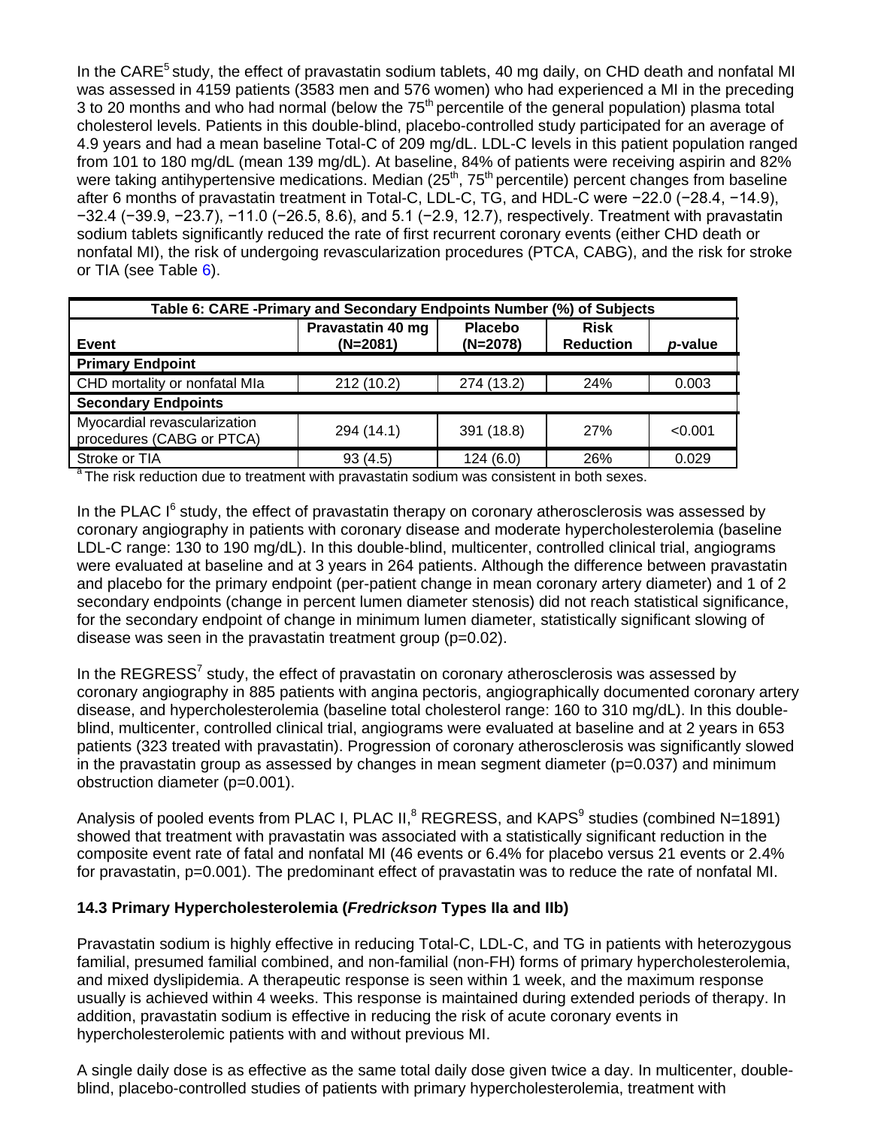In the CARE<sup>5</sup> study, the effect of pravastatin sodium tablets, 40 mg daily, on CHD death and nonfatal MI was assessed in 4159 patients (3583 men and 576 women) who had experienced a MI in the preceding 3 to 20 months and who had normal (below the 75<sup>th</sup> percentile of the general population) plasma total cholesterol levels. Patients in this double-blind, placebo-controlled study participated for an average of 4.9 years and had a mean baseline Total-C of 209 mg/dL. LDL-C levels in this patient population ranged from 101 to 180 mg/dL (mean 139 mg/dL). At baseline, 84% of patients were receiving aspirin and 82% were taking antihypertensive medications. Median (25<sup>th</sup>, 75<sup>th</sup> percentile) percent changes from baseline after 6 months of pravastatin treatment in Total-C, LDL-C, TG, and HDL-C were −22.0 (−28.4, −14.9), −32.4 (−39.9, −23.7), −11.0 (−26.5, 8.6), and 5.1 (−2.9, 12.7), respectively. Treatment with pravastatin sodium tablets significantly reduced the rate of first recurrent coronary events (either CHD death or nonfatal MI), the risk of undergoing revascularization procedures (PTCA, CABG), and the risk for stroke or TIA (see Table [6\)](#page-18-1).

<span id="page-18-1"></span>

| Table 6: CARE -Primary and Secondary Endpoints Number (%) of Subjects |                                 |                              |                                 |         |
|-----------------------------------------------------------------------|---------------------------------|------------------------------|---------------------------------|---------|
| Event                                                                 | Pravastatin 40 mg<br>$(N=2081)$ | <b>Placebo</b><br>$(N=2078)$ | <b>Risk</b><br><b>Reduction</b> | p-value |
| <b>Primary Endpoint</b>                                               |                                 |                              |                                 |         |
| CHD mortality or nonfatal MIa                                         | 212 (10.2)                      | 274 (13.2)                   | 24%                             | 0.003   |
| <b>Secondary Endpoints</b>                                            |                                 |                              |                                 |         |
| Myocardial revascularization<br>procedures (CABG or PTCA)             | 294 (14.1)                      | 391 (18.8)                   | <b>27%</b>                      | < 0.001 |
| Stroke or TIA                                                         | 93(4.5)                         | 124(6.0)                     | 26%                             | 0.029   |

<sup>a</sup> The risk reduction due to treatment with pravastatin sodium was consistent in both sexes.

In the PLAC  $I^6$  study, the effect of pravastatin therapy on coronary atherosclerosis was assessed by coronary angiography in patients with coronary disease and moderate hypercholesterolemia (baseline LDL-C range: 130 to 190 mg/dL). In this double-blind, multicenter, controlled clinical trial, angiograms were evaluated at baseline and at 3 years in 264 patients. Although the difference between pravastatin and placebo for the primary endpoint (per-patient change in mean coronary artery diameter) and 1 of 2 secondary endpoints (change in percent lumen diameter stenosis) did not reach statistical significance, for the secondary endpoint of change in minimum lumen diameter, statistically significant slowing of disease was seen in the pravastatin treatment group (p=0.02).

In the REGRESS<sup>7</sup> study, the effect of pravastatin on coronary atherosclerosis was assessed by coronary angiography in 885 patients with angina pectoris, angiographically documented coronary artery disease, and hypercholesterolemia (baseline total cholesterol range: 160 to 310 mg/dL). In this doubleblind, multicenter, controlled clinical trial, angiograms were evaluated at baseline and at 2 years in 653 patients (323 treated with pravastatin). Progression of coronary atherosclerosis was significantly slowed in the pravastatin group as assessed by changes in mean segment diameter  $(p=0.037)$  and minimum obstruction diameter (p=0.001).

Analysis of pooled events from PLAC I, PLAC II, $^8$  REGRESS, and KAPS $^9$  studies (combined N=1891) showed that treatment with pravastatin was associated with a statistically significant reduction in the composite event rate of fatal and nonfatal MI (46 events or 6.4% for placebo versus 21 events or 2.4% for pravastatin, p=0.001). The predominant effect of pravastatin was to reduce the rate of nonfatal MI.

# <span id="page-18-0"></span>**14.3 Primary Hypercholesterolemia (***Fredrickson* **Types IIa and IIb)**

Pravastatin sodium is highly effective in reducing Total-C, LDL-C, and TG in patients with heterozygous familial, presumed familial combined, and non-familial (non-FH) forms of primary hypercholesterolemia, and mixed dyslipidemia. A therapeutic response is seen within 1 week, and the maximum response usually is achieved within 4 weeks. This response is maintained during extended periods of therapy. In addition, pravastatin sodium is effective in reducing the risk of acute coronary events in hypercholesterolemic patients with and without previous MI.

A single daily dose is as effective as the same total daily dose given twice a day. In multicenter, doubleblind, placebo-controlled studies of patients with primary hypercholesterolemia, treatment with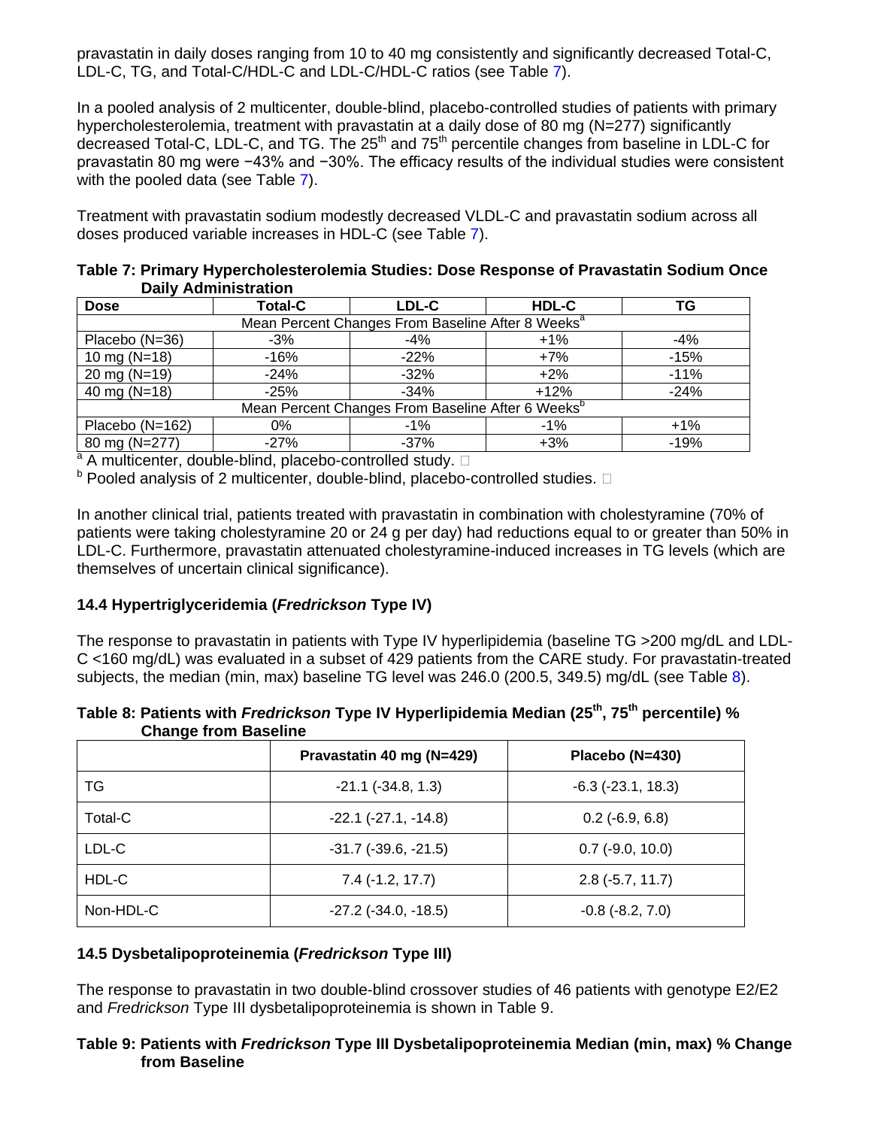pravastatin in daily doses ranging from 10 to 40 mg consistently and significantly decreased Total-C, LDL-C, TG, and Total-C/HDL-C and LDL-C/HDL-C ratios (see Table [7\)](#page-19-2).

In a pooled analysis of 2 multicenter, double-blind, placebo-controlled studies of patients with primary hypercholesterolemia, treatment with pravastatin at a daily dose of 80 mg (N=277) significantly decreased Total-C, LDL-C, and TG. The 25<sup>th</sup> and 75<sup>th</sup> percentile changes from baseline in LDL-C for pravastatin 80 mg were −43% and −30%. The efficacy results of the individual studies were consistent with the pooled data (see Table [7\)](#page-19-2).

Treatment with pravastatin sodium modestly decreased VLDL-C and pravastatin sodium across all doses produced variable increases in HDL-C (see Table [7\)](#page-19-2).

<span id="page-19-2"></span>

|                             | Table 7: Primary Hypercholesterolemia Studies: Dose Response of Pravastatin Sodium Once |
|-----------------------------|-----------------------------------------------------------------------------------------|
| <b>Daily Administration</b> |                                                                                         |

| <b>Dose</b>                                                   | <b>Total-C</b> | LDL-C                                                         | HDL-C  | ΤG     |
|---------------------------------------------------------------|----------------|---------------------------------------------------------------|--------|--------|
|                                                               |                | Mean Percent Changes From Baseline After 8 Weeks <sup>a</sup> |        |        |
| Placebo (N=36)                                                | $-3%$          | $-4%$                                                         | $+1\%$ | $-4%$  |
| 10 mg ( $N=18$ )                                              | $-16%$         | $-22%$                                                        | $+7%$  | $-15%$ |
| 20 mg (N=19)                                                  | $-24%$         | $-32%$                                                        | $+2%$  | $-11%$ |
| 40 mg ( $N=18$ )                                              | $-25%$         | $-34%$                                                        | $+12%$ | $-24%$ |
| Mean Percent Changes From Baseline After 6 Weeks <sup>b</sup> |                |                                                               |        |        |
| Placebo (N=162)                                               | 0%             | $-1\%$                                                        | $-1\%$ | $+1\%$ |
| 80 mg (N=277)                                                 | $-27%$         | $-37\%$                                                       | $+3%$  | $-19%$ |

a A multicenter, double-blind, placebo-controlled study.  $\square$ 

 $^{\text{b}}$  Pooled analysis of 2 multicenter, double-blind, placebo-controlled studies.  $\Box$ 

In another clinical trial, patients treated with pravastatin in combination with cholestyramine (70% of patients were taking cholestyramine 20 or 24 g per day) had reductions equal to or greater than 50% in LDL-C. Furthermore, pravastatin attenuated cholestyramine-induced increases in TG levels (which are themselves of uncertain clinical significance).

# <span id="page-19-0"></span>**14.4 Hypertriglyceridemia (***Fredrickson* **Type IV)**

The response to pravastatin in patients with Type IV hyperlipidemia (baseline TG >200 mg/dL and LDL-C <160 mg/dL) was evaluated in a subset of 429 patients from the CARE study. For pravastatin-treated subjects, the median (min, max) baseline TG level was 246.0 (200.5, 349.5) mg/dL (see Table [8\)](#page-19-3).

| <b>Undige from Daseme</b> |                               |                          |
|---------------------------|-------------------------------|--------------------------|
|                           | Pravastatin 40 mg (N=429)     | Placebo (N=430)          |
| TG                        | $-21.1$ $(-34.8, 1.3)$        | $-6.3$ ( $-23.1$ , 18.3) |
| Total-C                   | $-22.1$ $(-27.1, -14.8)$      | $0.2$ (-6.9, 6.8)        |
| LDL-C                     | $-31.7$ ( $-39.6$ , $-21.5$ ) | $0.7$ (-9.0, 10.0)       |
| HDL-C                     | $7.4$ (-1.2, 17.7)            | $2.8$ ( $-5.7$ , 11.7)   |
| Non-HDL-C                 | $-27.2$ ( $-34.0, -18.5$ )    | $-0.8$ $(-8.2, 7.0)$     |

<span id="page-19-3"></span>**Table 8: Patients with** *Fredrickson* **Type IV Hyperlipidemia Median (25th, 75th percentile) % Change from Baseline** 

# <span id="page-19-1"></span>**14.5 Dysbetalipoproteinemia (***Fredrickson* **Type III)**

The response to pravastatin in two double-blind crossover studies of 46 patients with genotype E2/E2 and *Fredrickson* Type III dysbetalipoproteinemia is shown in Table 9.

## **Table 9: Patients with** *Fredrickson* **Type III Dysbetalipoproteinemia Median (min, max) % Change from Baseline**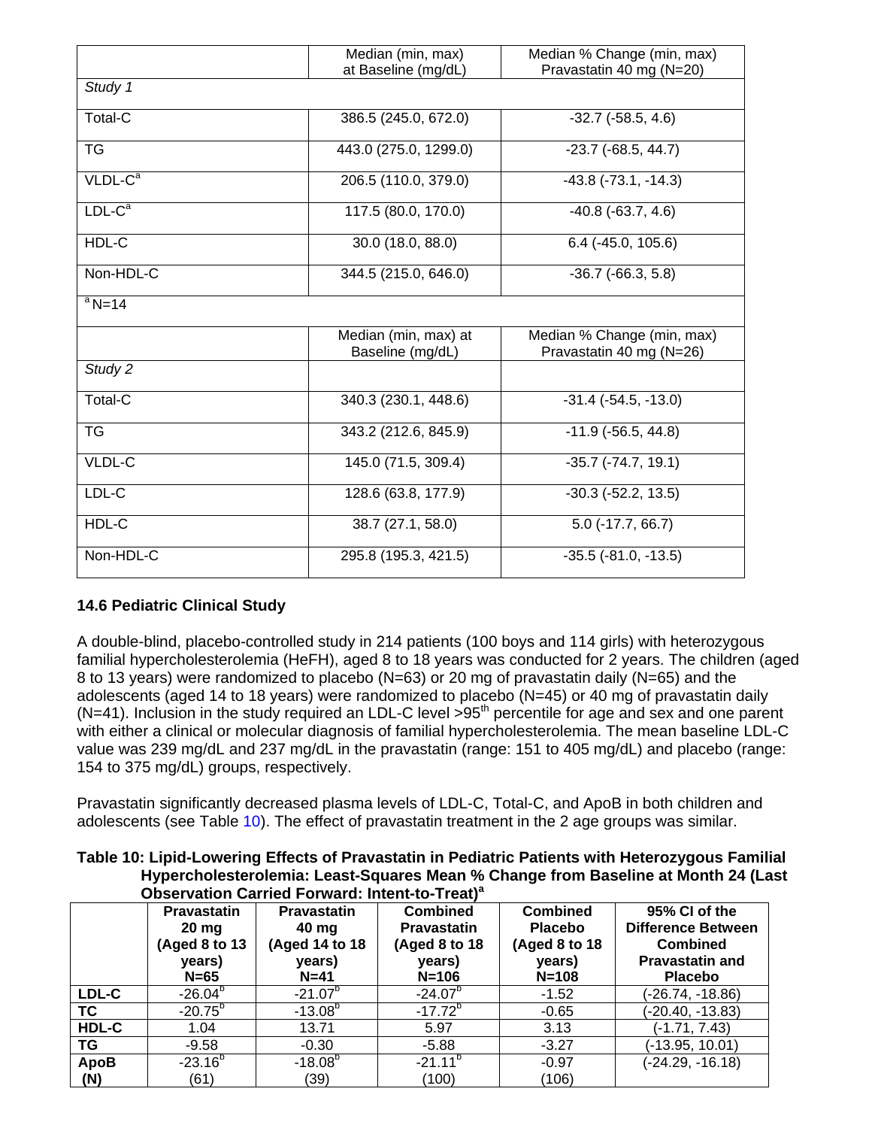|                     | Median (min, max)<br>Median % Change (min, max) |                                                        |  |
|---------------------|-------------------------------------------------|--------------------------------------------------------|--|
|                     | at Baseline (mg/dL)                             | Pravastatin 40 mg (N=20)                               |  |
| Study 1             |                                                 |                                                        |  |
| Total-C             | 386.5 (245.0, 672.0)                            | $-32.7$ $(-58.5, 4.6)$                                 |  |
| <b>TG</b>           | 443.0 (275.0, 1299.0)                           | $-23.7$ ( $-68.5, 44.7$ )                              |  |
| $VLDL-Ca$           | 206.5 (110.0, 379.0)                            | $-43.8$ $(-73.1, -14.3)$                               |  |
| $LDL-Ca$            | 117.5 (80.0, 170.0)                             | $-40.8$ $(-63.7, 4.6)$                                 |  |
| HDL-C               | 30.0 (18.0, 88.0)                               | $6.4$ (-45.0, 105.6)                                   |  |
| Non-HDL-C           | 344.5 (215.0, 646.0)                            | $-36.7$ $(-66.3, 5.8)$                                 |  |
| $a$ <sub>N=14</sub> |                                                 |                                                        |  |
|                     | Median (min, max) at<br>Baseline (mg/dL)        | Median % Change (min, max)<br>Pravastatin 40 mg (N=26) |  |
| Study 2             |                                                 |                                                        |  |
| Total-C             | 340.3 (230.1, 448.6)                            | $-31.4$ ( $-54.5$ , $-13.0$ )                          |  |
| <b>TG</b>           | 343.2 (212.6, 845.9)                            | $-11.9$ ( $-56.5$ , 44.8)                              |  |
| VLDL-C              | 145.0 (71.5, 309.4)                             | $-35.7$ $(-74.7, 19.1)$                                |  |
| LDL-C               | 128.6 (63.8, 177.9)                             | $-30.3$ $(-52.2, 13.5)$                                |  |
| HDL-C               | 38.7 (27.1, 58.0)                               | $5.0$ (-17.7, 66.7)                                    |  |
| Non-HDL-C           | 295.8 (195.3, 421.5)                            | $-35.5$ $(-81.0, -13.5)$                               |  |

# <span id="page-20-0"></span>**14.6 Pediatric Clinical Study**

A double-blind, placebo-controlled study in 214 patients (100 boys and 114 girls) with heterozygous familial hypercholesterolemia (HeFH), aged 8 to 18 years was conducted for 2 years. The children (aged 8 to 13 years) were randomized to placebo (N=63) or 20 mg of pravastatin daily (N=65) and the adolescents (aged 14 to 18 years) were randomized to placebo (N=45) or 40 mg of pravastatin daily  $(N=41)$ . Inclusion in the study required an LDL-C level >95<sup>th</sup> percentile for age and sex and one parent with either a clinical or molecular diagnosis of familial hypercholesterolemia. The mean baseline LDL-C value was 239 mg/dL and 237 mg/dL in the pravastatin (range: 151 to 405 mg/dL) and placebo (range: 154 to 375 mg/dL) groups, respectively.

Pravastatin significantly decreased plasma levels of LDL-C, Total-C, and ApoB in both children and adolescents (see Table [10\)](#page-20-1). The effect of pravastatin treatment in the 2 age groups was similar.

<span id="page-20-1"></span>**Table 10: Lipid-Lowering Effects of Pravastatin in Pediatric Patients with Heterozygous Familial Hypercholesterolemia: Least-Squares Mean % Change from Baseline at Month 24 (Last Observation Carried Forward: Intent-to-Treat)<sup>a</sup>**

|           | <b>Pravastatin</b><br>$20 \text{ mg}$<br>(Aged 8 to 13<br>years)<br>$N=65$ | <b>Pravastatin</b><br>40 mg<br>(Aged 14 to 18<br>years)<br>$N=41$ | <b>Combined</b><br><b>Pravastatin</b><br>(Aged 8 to 18<br>years)<br>$N = 106$ | <b>Combined</b><br><b>Placebo</b><br>(Aged 8 to 18<br>years)<br>$N = 108$ | 95% CI of the<br><b>Difference Between</b><br><b>Combined</b><br><b>Pravastatin and</b><br><b>Placebo</b> |
|-----------|----------------------------------------------------------------------------|-------------------------------------------------------------------|-------------------------------------------------------------------------------|---------------------------------------------------------------------------|-----------------------------------------------------------------------------------------------------------|
| LDL-C     | $-26.04^{b}$                                                               | $-21.07^{b}$                                                      | $-24.07b$                                                                     | $-1.52$                                                                   | (-26.74, -18.86)                                                                                          |
| <b>TC</b> | $-20.75^{b}$                                                               | $-13.08^{b}$                                                      | $-17.72^{b}$                                                                  | $-0.65$                                                                   | $(-20.40, -13.83)$                                                                                        |
| HDL-C     | 1.04                                                                       | 13.71                                                             | 5.97                                                                          | 3.13                                                                      | $(-1.71, 7.43)$                                                                                           |
| TG.       | $-9.58$                                                                    | $-0.30$                                                           | $-5.88$                                                                       | $-3.27$                                                                   | (-13.95, 10.01)                                                                                           |
| ApoB      | $-23.16^{b}$                                                               | $-18.08^{b}$                                                      | $-21.11^{\circ}$                                                              | $-0.97$                                                                   | $(-24.29, -16.18)$                                                                                        |
| (N)       | (61)                                                                       | (39)                                                              | (100)                                                                         | (106)                                                                     |                                                                                                           |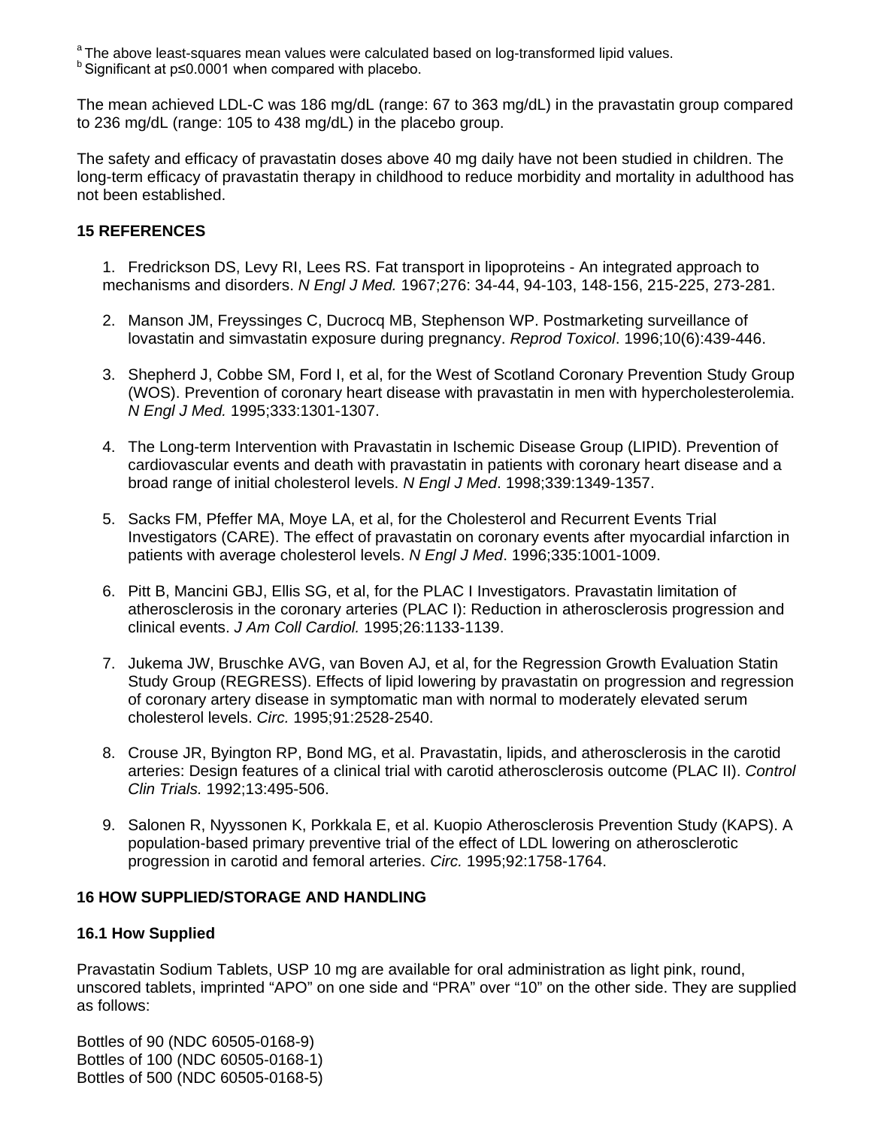<sup>a</sup> The above least-squares mean values were calculated based on log-transformed lipid values.<br><sup>b</sup> Significant at p≤0.0001 when compared with placebo.

The mean achieved LDL-C was 186 mg/dL (range: 67 to 363 mg/dL) in the pravastatin group compared to 236 mg/dL (range: 105 to 438 mg/dL) in the placebo group.

The safety and efficacy of pravastatin doses above 40 mg daily have not been studied in children. The long-term efficacy of pravastatin therapy in childhood to reduce morbidity and mortality in adulthood has not been established.

# <span id="page-21-0"></span>**15 REFERENCES**

- 1. Fredrickson DS, Levy RI, Lees RS. Fat transport in lipoproteins An integrated approach to mechanisms and disorders. *N Engl J Med.* 1967;276: 34-44, 94-103, 148-156, 215-225, 273-281.
- 2. Manson JM, Freyssinges C, Ducrocq MB, Stephenson WP. Postmarketing surveillance of lovastatin and simvastatin exposure during pregnancy. *Reprod Toxicol*. 1996;10(6):439-446.
- 3. Shepherd J, Cobbe SM, Ford I, et al, for the West of Scotland Coronary Prevention Study Group (WOS). Prevention of coronary heart disease with pravastatin in men with hypercholesterolemia. *N Engl J Med.* 1995;333:1301-1307.
- 4. The Long-term Intervention with Pravastatin in Ischemic Disease Group (LIPID). Prevention of cardiovascular events and death with pravastatin in patients with coronary heart disease and a broad range of initial cholesterol levels. *N Engl J Med*. 1998;339:1349-1357.
- 5. Sacks FM, Pfeffer MA, Moye LA, et al, for the Cholesterol and Recurrent Events Trial Investigators (CARE). The effect of pravastatin on coronary events after myocardial infarction in patients with average cholesterol levels. *N Engl J Med*. 1996;335:1001-1009.
- 6. Pitt B, Mancini GBJ, Ellis SG, et al, for the PLAC I Investigators. Pravastatin limitation of atherosclerosis in the coronary arteries (PLAC I): Reduction in atherosclerosis progression and clinical events. *J Am Coll Cardiol.* 1995;26:1133-1139.
- 7. Jukema JW, Bruschke AVG, van Boven AJ, et al, for the Regression Growth Evaluation Statin Study Group (REGRESS). Effects of lipid lowering by pravastatin on progression and regression of coronary artery disease in symptomatic man with normal to moderately elevated serum cholesterol levels. *Circ.* 1995;91:2528-2540.
- 8. Crouse JR, Byington RP, Bond MG, et al. Pravastatin, lipids, and atherosclerosis in the carotid arteries: Design features of a clinical trial with carotid atherosclerosis outcome (PLAC II). *Control Clin Trials.* 1992;13:495-506.
- 9. Salonen R, Nyyssonen K, Porkkala E, et al. Kuopio Atherosclerosis Prevention Study (KAPS). A population-based primary preventive trial of the effect of LDL lowering on atherosclerotic progression in carotid and femoral arteries. *Circ.* 1995;92:1758-1764.

# <span id="page-21-1"></span>**16 HOW SUPPLIED/STORAGE AND HANDLING**

# <span id="page-21-2"></span>**16.1 How Supplied**

Pravastatin Sodium Tablets, USP 10 mg are available for oral administration as light pink, round, unscored tablets, imprinted "APO" on one side and "PRA" over "10" on the other side. They are supplied as follows:

Bottles of 90 (NDC 60505-0168-9) Bottles of 100 (NDC 60505-0168-1) Bottles of 500 (NDC 60505-0168-5)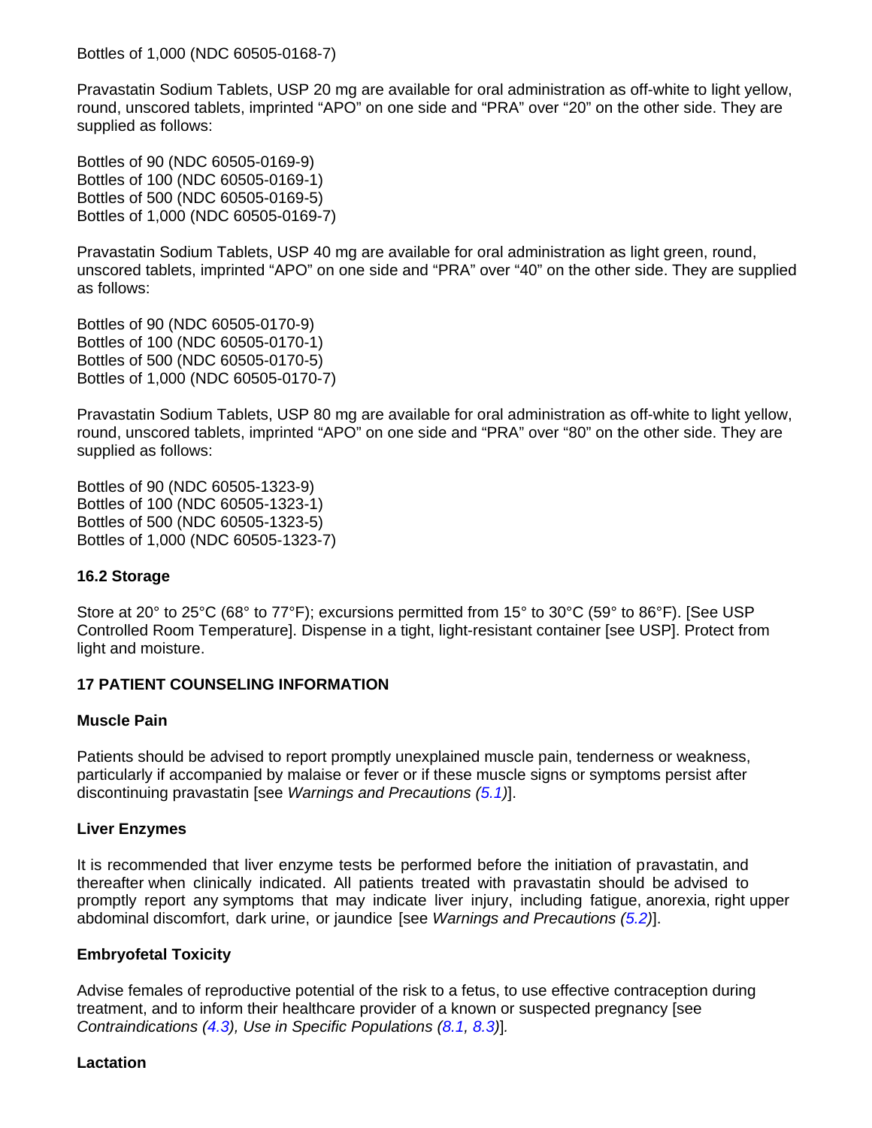Bottles of 1,000 (NDC 60505-0168-7)

Pravastatin Sodium Tablets, USP 20 mg are available for oral administration as off-white to light yellow, round, unscored tablets, imprinted "APO" on one side and "PRA" over "20" on the other side. They are supplied as follows:

Bottles of 90 (NDC 60505-0169-9) Bottles of 100 (NDC 60505-0169-1) Bottles of 500 (NDC 60505-0169-5) Bottles of 1,000 (NDC 60505-0169-7)

Pravastatin Sodium Tablets, USP 40 mg are available for oral administration as light green, round, unscored tablets, imprinted "APO" on one side and "PRA" over "40" on the other side. They are supplied as follows:

Bottles of 90 (NDC 60505-0170-9) Bottles of 100 (NDC 60505-0170-1) Bottles of 500 (NDC 60505-0170-5) Bottles of 1,000 (NDC 60505-0170-7)

Pravastatin Sodium Tablets, USP 80 mg are available for oral administration as off-white to light yellow, round, unscored tablets, imprinted "APO" on one side and "PRA" over "80" on the other side. They are supplied as follows:

Bottles of 90 (NDC 60505-1323-9) Bottles of 100 (NDC 60505-1323-1) Bottles of 500 (NDC 60505-1323-5) Bottles of 1,000 (NDC 60505-1323-7)

# <span id="page-22-1"></span>**16.2 Storage**

Store at 20° to 25°C (68° to 77°F); excursions permitted from 15° to 30°C (59° to 86°F). [See USP Controlled Room Temperature]. Dispense in a tight, light-resistant container [see USP]. Protect from light and moisture.

# <span id="page-22-0"></span>**17 PATIENT COUNSELING INFORMATION**

# **Muscle Pain**

Patients should be advised to report promptly unexplained muscle pain, tenderness or weakness, particularly if accompanied by malaise or fever or if these muscle signs or symptoms persist after discontinuing pravastatin [see *Warnings and Precautions [\(5.1\)](#page-4-4)*].

# **Liver Enzymes**

It is recommended that liver enzyme tests be performed before the initiation of pravastatin, and thereafter when clinically indicated. All patients treated with pravastatin should be advised to promptly report any symptoms that may indicate liver injury, including fatigue, anorexia, right upper abdominal discomfort, dark urine, or jaundice [see *Warnings and Precautions [\(5.2\)](#page-5-0)*].

# **Embryofetal Toxicity**

Advise females of reproductive potential of the risk to a fetus, to use effective contraception during treatment, and to inform their healthcare provider of a known or suspected pregnancy [see *Contraindications [\(4.3\)](#page-4-0), Use in Specific Populations [\(8.1,](#page-10-0) [8.3\)](#page-11-0)*]*.*

### **Lactation**